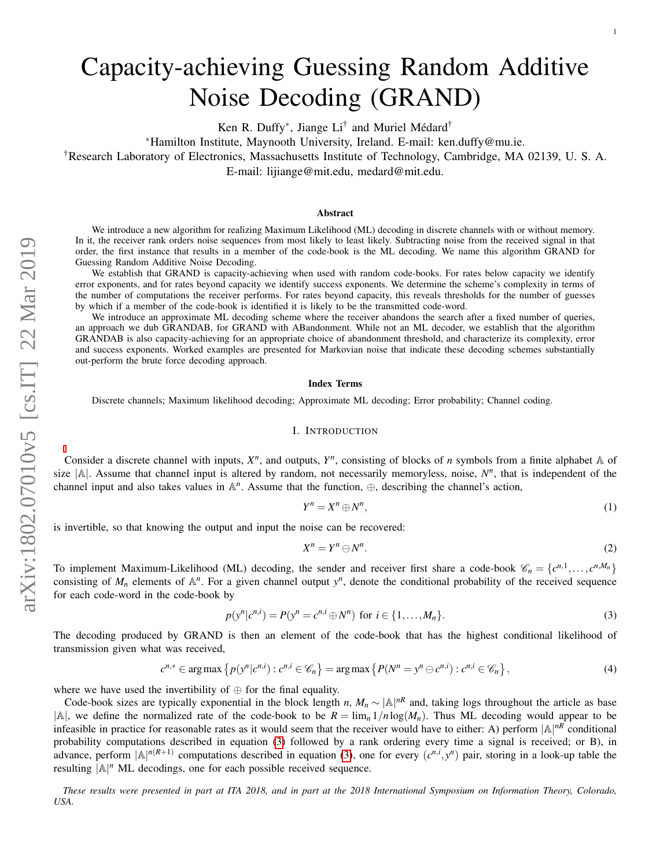# Capacity-achieving Guessing Random Additive Noise Decoding (GRAND)

Ken R. Duffy<sup>\*</sup>, Jiange Li<sup>†</sup> and Muriel Médard<sup>†</sup>

<sup>∗</sup>Hamilton Institute, Maynooth University, Ireland. E-mail: ken.duffy@mu.ie.

†Research Laboratory of Electronics, Massachusetts Institute of Technology, Cambridge, MA 02139, U. S. A.

E-mail: lijiange@mit.edu, medard@mit.edu.

## Abstract

We introduce a new algorithm for realizing Maximum Likelihood (ML) decoding in discrete channels with or without memory. In it, the receiver rank orders noise sequences from most likely to least likely. Subtracting noise from the received signal in that order, the first instance that results in a member of the code-book is the ML decoding. We name this algorithm GRAND for Guessing Random Additive Noise Decoding.

We establish that GRAND is capacity-achieving when used with random code-books. For rates below capacity we identify error exponents, and for rates beyond capacity we identify success exponents. We determine the scheme's complexity in terms of the number of computations the receiver performs. For rates beyond capacity, this reveals thresholds for the number of guesses by which if a member of the code-book is identified it is likely to be the transmitted code-word.

We introduce an approximate ML decoding scheme where the receiver abandons the search after a fixed number of queries, an approach we dub GRANDAB, for GRAND with ABandonment. While not an ML decoder, we establish that the algorithm GRANDAB is also capacity-achieving for an appropriate choice of abandonment threshold, and characterize its complexity, error and success exponents. Worked examples are presented for Markovian noise that indicate these decoding schemes substantially out-perform the brute force decoding approach.

### Index Terms

Discrete channels; Maximum likelihood decoding; Approximate ML decoding; Error probability; Channel coding.

## I. INTRODUCTION

Consider a discrete channel with inputs,  $X^n$ , and outputs,  $Y^n$ , consisting of blocks of *n* symbols from a finite alphabet  $A$  of size  $|A|$ . Assume that channel input is altered by random, not necessarily memoryless, noise,  $N^n$ , that is independent of the channel input and also takes values in  $\mathbb{A}^n$ . Assume that the function,  $\oplus$ , describing the channel's action,

<span id="page-0-1"></span>
$$
Y^n = X^n \oplus N^n,\tag{1}
$$

is invertible, so that knowing the output and input the noise can be recovered:

<span id="page-0-3"></span><span id="page-0-2"></span><span id="page-0-0"></span>
$$
X^n = Y^n \ominus N^n. \tag{2}
$$

To implement Maximum-Likelihood (ML) decoding, the sender and receiver first share a code-book  $\mathscr{C}_n = \{c^{n,1}, \ldots, c^{n,M_n}\}$ consisting of  $M_n$  elements of  $\mathbb{A}^n$ . For a given channel output  $y^n$ , denote the conditional probability of the received sequence for each code-word in the code-book by

$$
p(y^n|c^{n,i}) = P(y^n = c^{n,i} \oplus N^n) \text{ for } i \in \{1, ..., M_n\}.
$$
 (3)

The decoding produced by GRAND is then an element of the code-book that has the highest conditional likelihood of transmission given what was received,

$$
c^{n,*} \in \arg\max \left\{ p(y^n|c^{n,i}) : c^{n,i} \in \mathscr{C}_n \right\} = \arg\max \left\{ P(N^n = y^n \ominus c^{n,i}) : c^{n,i} \in \mathscr{C}_n \right\},\tag{4}
$$

where we have used the invertibility of  $\oplus$  for the final equality.

Code-book sizes are typically exponential in the block length *n*,  $M_n \sim |\mathbb{A}|^{nR}$  and, taking logs throughout the article as base  $|A|$ , we define the normalized rate of the code-book to be  $R = \lim_{n \to \infty} 1/n \log(M_n)$ . Thus ML decoding would appear to be infeasible in practice for reasonable rates as it would seem that the receiver would have to either: A) perform  $|A|^{nR}$  conditional probability computations described in equation [\(3\)](#page-0-0) followed by a rank ordering every time a signal is received; or B), in advance, perform  $|A|^{n(R+1)}$  computations described in equation [\(3\)](#page-0-0), one for every  $(c^{n,i}, y^n)$  pair, storing in a look-up table the resulting  $A^n$  ML decodings, one for each possible received sequence.

*These results were presented in part at ITA 2018, and in part at the 2018 International Symposium on Information Theory, Colorado, USA.*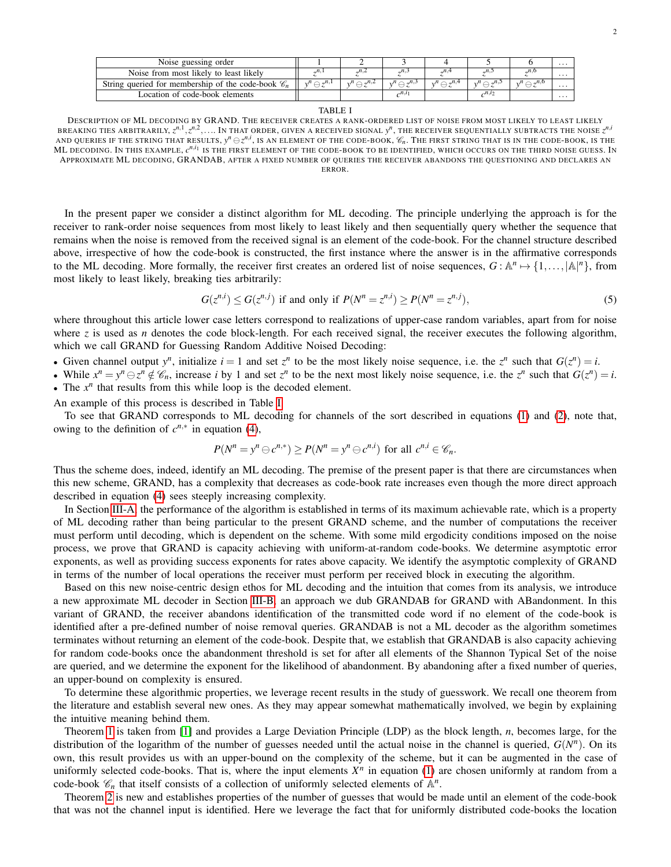| Noise guessing order                                           |                                  |                            |                                  |                            |                                 |                            | . |
|----------------------------------------------------------------|----------------------------------|----------------------------|----------------------------------|----------------------------|---------------------------------|----------------------------|---|
| Noise from most likely to least likely                         | $n_{\cdot}$                      |                            |                                  |                            |                                 |                            | . |
| String queried for membership of the code-book $\mathscr{C}_n$ | $v^n \nightharpoonup \neg^{n,1}$ | $n^{n} \bigcirc \pi^{n,2}$ | $v^n \nightharpoonup \neg^{n,3}$ | $n^{n} \bigcirc \pi^{n,4}$ | $n^{n} \bigcirc \neg n, \neg n$ | $n^{n} \bigcirc \pi^{n,0}$ | . |
| Location of code-book elements                                 |                                  |                            | $\lambda^{n,i}$                  |                            |                                 |                            | . |

#### TABLE I

<span id="page-1-0"></span>DESCRIPTION OF ML DECODING BY GRAND. THE RECEIVER CREATES A RANK-ORDERED LIST OF NOISE FROM MOST LIKELY TO LEAST LIKELY BREAKING TIES ARBITRARILY,  $z^{n,1}, z^{n,2},....$  IN THAT ORDER, GIVEN A RECEIVED SIGNAL  $y^n$ , THE RECEIVER SEQUENTIALLY SUBTRACTS THE NOISE  $z^{n,i}$ AND QUERIES IF THE STRING THAT RESULTS,  $y^n \ominus z^{n,i}$ , IS AN ELEMENT OF THE CODE-BOOK,  $\mathscr{C}_n$ . THE FIRST STRING THAT IS IN THE CODE-BOOK, IS THE ML DECODING. IN THIS EXAMPLE,  $c^{n,i_1}$  is the first element of the code-book to be identified, which occurs on the third noise guess. In APPROXIMATE ML DECODING, GRANDAB, AFTER A FIXED NUMBER OF QUERIES THE RECEIVER ABANDONS THE QUESTIONING AND DECLARES AN ERROR.

In the present paper we consider a distinct algorithm for ML decoding. The principle underlying the approach is for the receiver to rank-order noise sequences from most likely to least likely and then sequentially query whether the sequence that remains when the noise is removed from the received signal is an element of the code-book. For the channel structure described above, irrespective of how the code-book is constructed, the first instance where the answer is in the affirmative corresponds to the ML decoding. More formally, the receiver first creates an ordered list of noise sequences,  $G: \mathbb{A}^n \mapsto \{1, \ldots, |\mathbb{A}|^n\}$ , from most likely to least likely, breaking ties arbitrarily:

$$
G(z^{n,i}) \le G(z^{n,j}) \text{ if and only if } P(N^n = z^{n,i}) \ge P(N^n = z^{n,j}),\tag{5}
$$

where throughout this article lower case letters correspond to realizations of upper-case random variables, apart from for noise where *z* is used as *n* denotes the code block-length. For each received signal, the receiver executes the following algorithm, which we call GRAND for Guessing Random Additive Noised Decoding:

• Given channel output  $y^n$ , initialize  $i = 1$  and set  $z^n$  to be the most likely noise sequence, i.e. the  $z^n$  such that  $G(z^n) = i$ .

• While  $x^n = y^n \ominus z^n \notin \mathcal{C}_n$ , increase i by 1 and set  $z^n$  to be the next most likely noise sequence, i.e. the  $z^n$  such that  $G(z^n) = i$ . • The  $x^n$  that results from this while loop is the decoded element.

An example of this process is described in Table [I.](#page-1-0)

To see that GRAND corresponds to ML decoding for channels of the sort described in equations [\(1\)](#page-0-1) and [\(2\)](#page-0-2), note that, owing to the definition of  $c^{n,*}$  in equation [\(4\)](#page-0-3),

$$
P(N^n = y^n \ominus c^{n,*}) \ge P(N^n = y^n \ominus c^{n,i})
$$
 for all  $c^{n,i} \in \mathcal{C}_n$ .

Thus the scheme does, indeed, identify an ML decoding. The premise of the present paper is that there are circumstances when this new scheme, GRAND, has a complexity that decreases as code-book rate increases even though the more direct approach described in equation [\(4\)](#page-0-3) sees steeply increasing complexity.

In Section [III-A,](#page-3-0) the performance of the algorithm is established in terms of its maximum achievable rate, which is a property of ML decoding rather than being particular to the present GRAND scheme, and the number of computations the receiver must perform until decoding, which is dependent on the scheme. With some mild ergodicity conditions imposed on the noise process, we prove that GRAND is capacity achieving with uniform-at-random code-books. We determine asymptotic error exponents, as well as providing success exponents for rates above capacity. We identify the asymptotic complexity of GRAND in terms of the number of local operations the receiver must perform per received block in executing the algorithm.

Based on this new noise-centric design ethos for ML decoding and the intuition that comes from its analysis, we introduce a new approximate ML decoder in Section [III-B,](#page-11-0) an approach we dub GRANDAB for GRAND with ABandonment. In this variant of GRAND, the receiver abandons identification of the transmitted code word if no element of the code-book is identified after a pre-defined number of noise removal queries. GRANDAB is not a ML decoder as the algorithm sometimes terminates without returning an element of the code-book. Despite that, we establish that GRANDAB is also capacity achieving for random code-books once the abandonment threshold is set for after all elements of the Shannon Typical Set of the noise are queried, and we determine the exponent for the likelihood of abandonment. By abandoning after a fixed number of queries, an upper-bound on complexity is ensured.

To determine these algorithmic properties, we leverage recent results in the study of guesswork. We recall one theorem from the literature and establish several new ones. As they may appear somewhat mathematically involved, we begin by explaining the intuitive meaning behind them.

Theorem [1](#page-4-0) is taken from [\[1\]](#page-18-0) and provides a Large Deviation Principle (LDP) as the block length, *n*, becomes large, for the distribution of the logarithm of the number of guesses needed until the actual noise in the channel is queried,  $G(N^n)$ . On its own, this result provides us with an upper-bound on the complexity of the scheme, but it can be augmented in the case of uniformly selected code-books. That is, where the input elements  $X<sup>n</sup>$  in equation [\(1\)](#page-0-1) are chosen uniformly at random from a code-book  $\mathcal{C}_n$  that itself consists of a collection of uniformly selected elements of  $\mathbb{A}^n$ .

Theorem [2](#page-5-0) is new and establishes properties of the number of guesses that would be made until an element of the code-book that was not the channel input is identified. Here we leverage the fact that for uniformly distributed code-books the location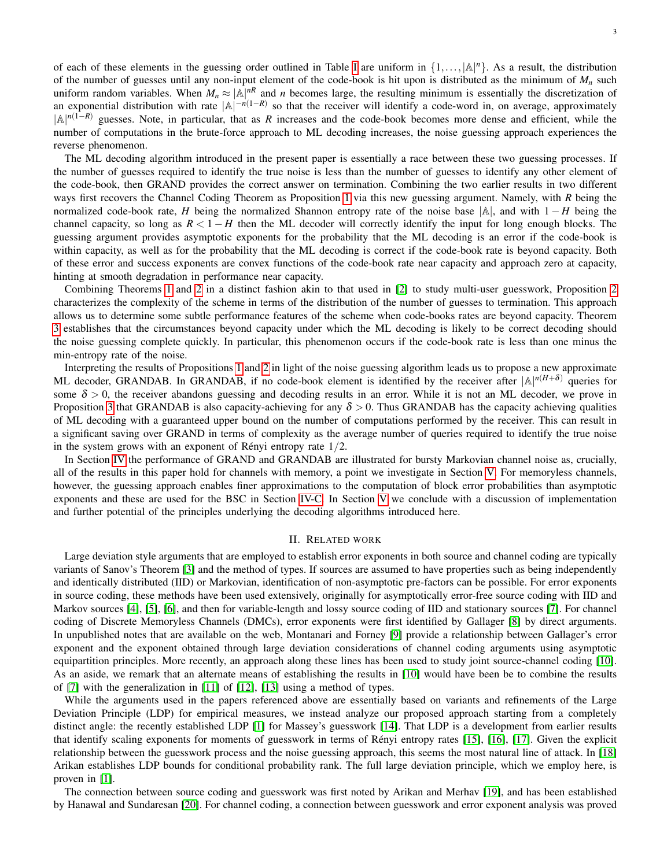of each of these elements in the guessing order outlined in Table [I](#page-1-0) are uniform in  $\{1,\ldots,|\mathbb{A}|^n\}$ . As a result, the distribution of the number of guesses until any non-input element of the code-book is hit upon is distributed as the minimum of  $M<sub>n</sub>$  such uniform random variables. When  $M_n \approx |\mathbb{A}|^{nR}$  and *n* becomes large, the resulting minimum is essentially the discretization of an exponential distribution with rate  $|A|^{-n(1-R)}$  so that the receiver will identify a code-word in, on average, approximately |A| *<sup>n</sup>*(1−*R*) guesses. Note, in particular, that as *R* increases and the code-book becomes more dense and efficient, while the number of computations in the brute-force approach to ML decoding increases, the noise guessing approach experiences the reverse phenomenon.

The ML decoding algorithm introduced in the present paper is essentially a race between these two guessing processes. If the number of guesses required to identify the true noise is less than the number of guesses to identify any other element of the code-book, then GRAND provides the correct answer on termination. Combining the two earlier results in two different ways first recovers the Channel Coding Theorem as Proposition [1](#page-7-0) via this new guessing argument. Namely, with *R* being the normalized code-book rate, *H* being the normalized Shannon entropy rate of the noise base |A|, and with 1 − *H* being the channel capacity, so long as  $R < 1 - H$  then the ML decoder will correctly identify the input for long enough blocks. The guessing argument provides asymptotic exponents for the probability that the ML decoding is an error if the code-book is within capacity, as well as for the probability that the ML decoding is correct if the code-book rate is beyond capacity. Both of these error and success exponents are convex functions of the code-book rate near capacity and approach zero at capacity, hinting at smooth degradation in performance near capacity.

Combining Theorems [1](#page-4-0) and [2](#page-5-0) in a distinct fashion akin to that used in [\[2\]](#page-19-0) to study multi-user guesswork, Proposition [2](#page-9-0) characterizes the complexity of the scheme in terms of the distribution of the number of guesses to termination. This approach allows us to determine some subtle performance features of the scheme when code-books rates are beyond capacity. Theorem [3](#page-11-1) establishes that the circumstances beyond capacity under which the ML decoding is likely to be correct decoding should the noise guessing complete quickly. In particular, this phenomenon occurs if the code-book rate is less than one minus the min-entropy rate of the noise.

Interpreting the results of Propositions [1](#page-7-0) and [2](#page-9-0) in light of the noise guessing algorithm leads us to propose a new approximate ML decoder, GRANDAB. In GRANDAB, if no code-book element is identified by the receiver after  $|A|^{n(H+\delta)}$  queries for some  $\delta > 0$ , the receiver abandons guessing and decoding results in an error. While it is not an ML decoder, we prove in Proposition [3](#page-11-2) that GRANDAB is also capacity-achieving for any  $\delta > 0$ . Thus GRANDAB has the capacity achieving qualities of ML decoding with a guaranteed upper bound on the number of computations performed by the receiver. This can result in a significant saving over GRAND in terms of complexity as the average number of queries required to identify the true noise in the system grows with an exponent of Rényi entropy rate  $1/2$ .

In Section [IV](#page-12-0) the performance of GRAND and GRANDAB are illustrated for bursty Markovian channel noise as, crucially, all of the results in this paper hold for channels with memory, a point we investigate in Section [V.](#page-17-0) For memoryless channels, however, the guessing approach enables finer approximations to the computation of block error probabilities than asymptotic exponents and these are used for the BSC in Section [IV-C.](#page-14-0) In Section [V](#page-17-0) we conclude with a discussion of implementation and further potential of the principles underlying the decoding algorithms introduced here.

# II. RELATED WORK

Large deviation style arguments that are employed to establish error exponents in both source and channel coding are typically variants of Sanov's Theorem [\[3\]](#page-19-1) and the method of types. If sources are assumed to have properties such as being independently and identically distributed (IID) or Markovian, identification of non-asymptotic pre-factors can be possible. For error exponents in source coding, these methods have been used extensively, originally for asymptotically error-free source coding with IID and Markov sources [\[4\]](#page-19-2), [\[5\]](#page-19-3), [\[6\]](#page-19-4), and then for variable-length and lossy source coding of IID and stationary sources [\[7\]](#page-19-5). For channel coding of Discrete Memoryless Channels (DMCs), error exponents were first identified by Gallager [\[8\]](#page-19-6) by direct arguments. In unpublished notes that are available on the web, Montanari and Forney [\[9\]](#page-19-7) provide a relationship between Gallager's error exponent and the exponent obtained through large deviation considerations of channel coding arguments using asymptotic equipartition principles. More recently, an approach along these lines has been used to study joint source-channel coding [\[10\]](#page-19-8). As an aside, we remark that an alternate means of establishing the results in [\[10\]](#page-19-8) would have been be to combine the results of [\[7\]](#page-19-5) with the generalization in [\[11\]](#page-19-9) of [\[12\]](#page-19-10), [\[13\]](#page-19-11) using a method of types.

While the arguments used in the papers referenced above are essentially based on variants and refinements of the Large Deviation Principle (LDP) for empirical measures, we instead analyze our proposed approach starting from a completely distinct angle: the recently established LDP [\[1\]](#page-18-0) for Massey's guesswork [\[14\]](#page-19-12). That LDP is a development from earlier results that identify scaling exponents for moments of guesswork in terms of Renyi entropy rates [\[15\]](#page-19-13), [\[16\]](#page-19-14), [\[17\]](#page-19-15). Given the explicit ´ relationship between the guesswork process and the noise guessing approach, this seems the most natural line of attack. In [\[18\]](#page-19-16) Arikan establishes LDP bounds for conditional probability rank. The full large deviation principle, which we employ here, is proven in [\[1\]](#page-18-0).

The connection between source coding and guesswork was first noted by Arikan and Merhav [\[19\]](#page-19-17), and has been established by Hanawal and Sundaresan [\[20\]](#page-19-18). For channel coding, a connection between guesswork and error exponent analysis was proved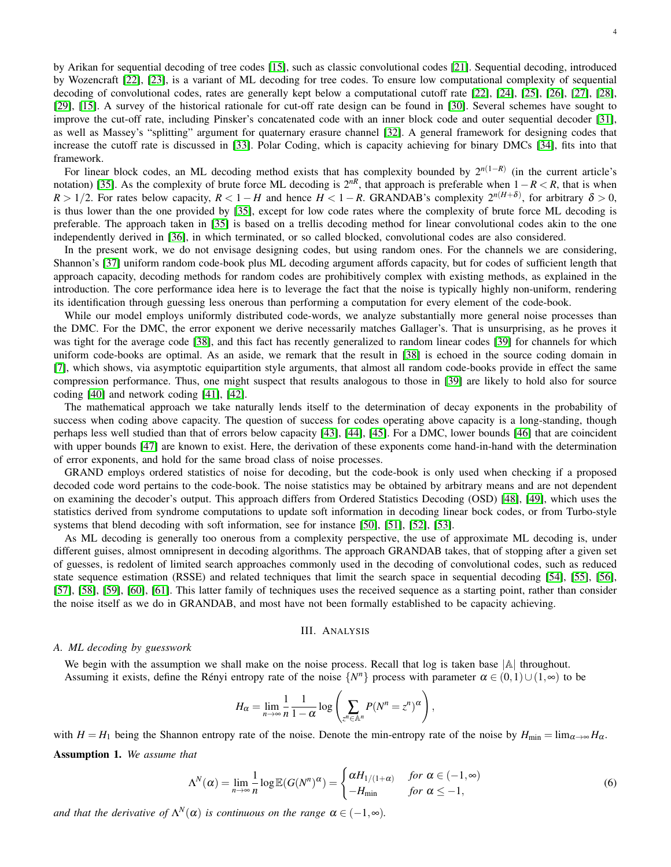4

by Arikan for sequential decoding of tree codes [\[15\]](#page-19-13), such as classic convolutional codes [\[21\]](#page-19-19). Sequential decoding, introduced by Wozencraft [\[22\]](#page-19-20), [\[23\]](#page-19-21), is a variant of ML decoding for tree codes. To ensure low computational complexity of sequential decoding of convolutional codes, rates are generally kept below a computational cutoff rate [\[22\]](#page-19-20), [\[24\]](#page-19-22), [\[25\]](#page-19-23), [\[26\]](#page-19-24), [\[27\]](#page-19-25), [\[28\]](#page-19-26), [\[29\]](#page-19-27), [\[15\]](#page-19-13). A survey of the historical rationale for cut-off rate design can be found in [\[30\]](#page-19-28). Several schemes have sought to improve the cut-off rate, including Pinsker's concatenated code with an inner block code and outer sequential decoder [\[31\]](#page-19-29), as well as Massey's "splitting" argument for quaternary erasure channel [\[32\]](#page-19-30). A general framework for designing codes that increase the cutoff rate is discussed in [\[33\]](#page-19-31). Polar Coding, which is capacity achieving for binary DMCs [\[34\]](#page-19-32), fits into that framework.

For linear block codes, an ML decoding method exists that has complexity bounded by 2*n*(1−*R*) (in the current article's notation) [\[35\]](#page-19-33). As the complexity of brute force ML decoding is  $2^{nR}$ , that approach is preferable when  $1-R < R$ , that is when  $R > 1/2$ . For rates below capacity,  $R < 1 - H$  and hence  $H < 1 - R$ . GRANDAB's complexity  $2^{n(H+\delta)}$ , for arbitrary  $\delta > 0$ , is thus lower than the one provided by [\[35\]](#page-19-33), except for low code rates where the complexity of brute force ML decoding is preferable. The approach taken in [\[35\]](#page-19-33) is based on a trellis decoding method for linear convolutional codes akin to the one independently derived in [\[36\]](#page-19-34), in which terminated, or so called blocked, convolutional codes are also considered.

In the present work, we do not envisage designing codes, but using random ones. For the channels we are considering, Shannon's [\[37\]](#page-19-35) uniform random code-book plus ML decoding argument affords capacity, but for codes of sufficient length that approach capacity, decoding methods for random codes are prohibitively complex with existing methods, as explained in the introduction. The core performance idea here is to leverage the fact that the noise is typically highly non-uniform, rendering its identification through guessing less onerous than performing a computation for every element of the code-book.

While our model employs uniformly distributed code-words, we analyze substantially more general noise processes than the DMC. For the DMC, the error exponent we derive necessarily matches Gallager's. That is unsurprising, as he proves it was tight for the average code [\[38\]](#page-19-36), and this fact has recently generalized to random linear codes [\[39\]](#page-19-37) for channels for which uniform code-books are optimal. As an aside, we remark that the result in [\[38\]](#page-19-36) is echoed in the source coding domain in [\[7\]](#page-19-5), which shows, via asymptotic equipartition style arguments, that almost all random code-books provide in effect the same compression performance. Thus, one might suspect that results analogous to those in [\[39\]](#page-19-37) are likely to hold also for source coding [\[40\]](#page-19-38) and network coding [\[41\]](#page-19-39), [\[42\]](#page-19-40).

The mathematical approach we take naturally lends itself to the determination of decay exponents in the probability of success when coding above capacity. The question of success for codes operating above capacity is a long-standing, though perhaps less well studied than that of errors below capacity [\[43\]](#page-19-41), [\[44\]](#page-19-42), [\[45\]](#page-19-43). For a DMC, lower bounds [\[46\]](#page-19-44) that are coincident with upper bounds [\[47\]](#page-19-45) are known to exist. Here, the derivation of these exponents come hand-in-hand with the determination of error exponents, and hold for the same broad class of noise processes.

GRAND employs ordered statistics of noise for decoding, but the code-book is only used when checking if a proposed decoded code word pertains to the code-book. The noise statistics may be obtained by arbitrary means and are not dependent on examining the decoder's output. This approach differs from Ordered Statistics Decoding (OSD) [\[48\]](#page-19-46), [\[49\]](#page-19-47), which uses the statistics derived from syndrome computations to update soft information in decoding linear bock codes, or from Turbo-style systems that blend decoding with soft information, see for instance [\[50\]](#page-19-48), [\[51\]](#page-19-49), [\[52\]](#page-19-50), [\[53\]](#page-19-51).

As ML decoding is generally too onerous from a complexity perspective, the use of approximate ML decoding is, under different guises, almost omnipresent in decoding algorithms. The approach GRANDAB takes, that of stopping after a given set of guesses, is redolent of limited search approaches commonly used in the decoding of convolutional codes, such as reduced state sequence estimation (RSSE) and related techniques that limit the search space in sequential decoding [\[54\]](#page-20-0), [\[55\]](#page-20-1), [\[56\]](#page-20-2), [\[57\]](#page-20-3), [\[58\]](#page-20-4), [\[59\]](#page-20-5), [\[60\]](#page-20-6), [\[61\]](#page-20-7). This latter family of techniques uses the received sequence as a starting point, rather than consider the noise itself as we do in GRANDAB, and most have not been formally established to be capacity achieving.

# <span id="page-3-2"></span>III. ANALYSIS

## <span id="page-3-0"></span>*A. ML decoding by guesswork*

We begin with the assumption we shall make on the noise process. Recall that log is taken base  $|\mathbb{A}|$  throughout. Assuming it exists, define the Rényi entropy rate of the noise  $\{N^n\}$  process with parameter  $\alpha \in (0,1) \cup (1,\infty)$  to be

$$
H_{\alpha} = \lim_{n \to \infty} \frac{1}{n} \frac{1}{1 - \alpha} \log \left( \sum_{z^n \in \mathbb{A}^n} P(N^n = z^n)^{\alpha} \right),
$$

<span id="page-3-1"></span>with  $H = H_1$  being the Shannon entropy rate of the noise. Denote the min-entropy rate of the noise by  $H_{\text{min}} = \lim_{\alpha \to \infty} H_\alpha$ . Assumption 1. *We assume that*

$$
\Lambda^N(\alpha) = \lim_{n \to \infty} \frac{1}{n} \log \mathbb{E}(G(N^n)^\alpha) = \begin{cases} \alpha H_{1/(1+\alpha)} & \text{for } \alpha \in (-1, \infty) \\ -H_{\min} & \text{for } \alpha \le -1, \end{cases}
$$
(6)

*and that the derivative of*  $\Lambda^N(\alpha)$  *is continuous on the range*  $\alpha \in (-1, \infty)$ *.*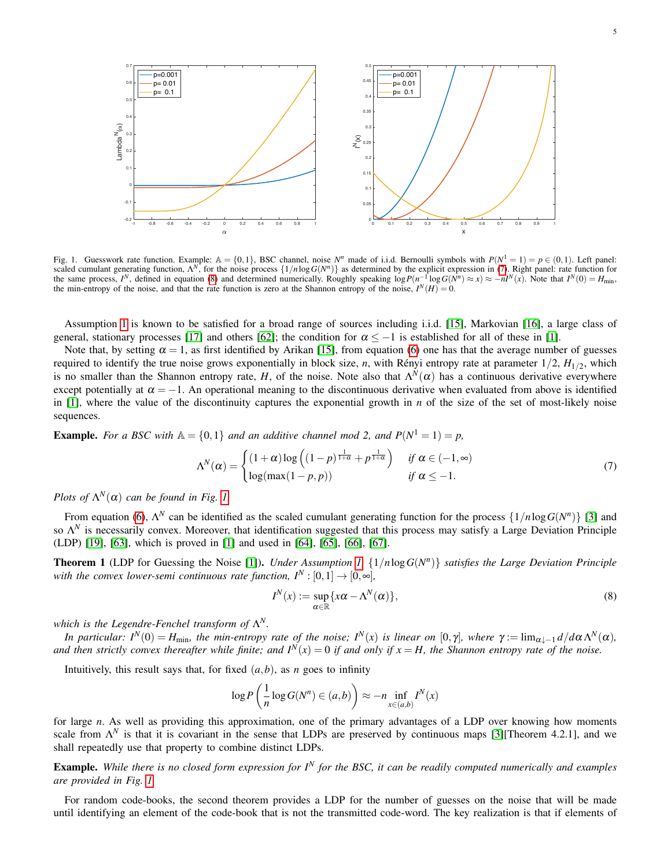

<span id="page-4-3"></span>Fig. 1. Guesswork rate function. Example:  $\mathbb{A} = \{0,1\}$ , BSC channel, noise  $N^n$  made of i.i.d. Bernoulli symbols with  $P(N^1 = 1) = p \in (0,1)$ . Left panel: scaled cumulant generating function,  $\Lambda^N$ , for the noise process  $\{1/n \log G(N^n)\}$  as determined by the explicit expression in [\(7\)](#page-4-1). Right panel: rate function for the same process,  $I^N$ , defined in equation [\(8\)](#page-4-2) and determined numerically. Roughly speaking  $\log P(n^{-1} \log G(N^n) \approx x) \approx -nI^N(x)$ . Note that  $I^N(0) = H_{\text{min}}$ , the min-entropy of the noise, and that the rate function is zero at the Shannon entropy of the noise,  $I^N(H) = 0$ .

Assumption [1](#page-3-1) is known to be satisfied for a broad range of sources including i.i.d. [\[15\]](#page-19-13), Markovian [\[16\]](#page-19-14), a large class of general, stationary processes [\[17\]](#page-19-15) and others [\[62\]](#page-20-8); the condition for  $\alpha \leq -1$  is established for all of these in [\[1\]](#page-18-0).

Note that, by setting  $\alpha = 1$ , as first identified by Arikan [\[15\]](#page-19-13), from equation [\(6\)](#page-3-2) one has that the average number of guesses required to identify the true noise grows exponentially in block size, *n*, with Rényi entropy rate at parameter  $1/2$ ,  $H_{1/2}$ , which is no smaller than the Shannon entropy rate, *H*, of the noise. Note also that  $\Lambda^N(\alpha)$  has a continuous derivative everywhere except potentially at  $\alpha = -1$ . An operational meaning to the discontinuous derivative when evaluated from above is identified in [\[1\]](#page-18-0), where the value of the discontinuity captures the exponential growth in *n* of the size of the set of most-likely noise sequences.

**Example.** For a BSC with  $A = \{0, 1\}$  and an additive channel mod 2, and  $P(N^1 = 1) = p$ ,

$$
\Lambda^N(\alpha) = \begin{cases} (1+\alpha)\log\left((1-p)^{\frac{1}{1+\alpha}} + p^{\frac{1}{1+\alpha}}\right) & \text{if } \alpha \in (-1,\infty) \\ \log(\max(1-p,p)) & \text{if } \alpha \le -1. \end{cases}
$$
(7)

*Plots of*  $\Lambda^N(\alpha)$  *can be found in Fig. [1.](#page-4-3)* 

From equation [\(6\)](#page-3-2),  $\Lambda^N$  can be identified as the scaled cumulant generating function for the process  $\{1/n \log G(N^n)\}$  [\[3\]](#page-19-1) and so Λ *<sup>N</sup>* is necessarily convex. Moreover, that identification suggested that this process may satisfy a Large Deviation Principle (LDP) [\[19\]](#page-19-17), [\[63\]](#page-20-9), which is proved in [\[1\]](#page-18-0) and used in [\[64\]](#page-20-10), [\[65\]](#page-20-11), [\[66\]](#page-20-12), [\[67\]](#page-20-13).

<span id="page-4-0"></span>**Theorem 1** (LDP for Guessing the Noise [\[1\]](#page-18-0)). *Under Assumption 1*,  $\{1/n \log G(N^n)\}$  *satisfies the Large Deviation Principle with the convex lower-semi continuous rate function,*  $I^N : [0,1] \rightarrow [0,\infty]$ *,* 

<span id="page-4-2"></span><span id="page-4-1"></span>
$$
I^{N}(x) := \sup_{\alpha \in \mathbb{R}} \{x\alpha - \Lambda^{N}(\alpha)\},
$$
\n(8)

*which is the Legendre-Fenchel transform of* Λ *N.*

*In particular:*  $I^N(0) = H_{\text{min}}$ *, the min-entropy rate of the noise;*  $I^N(x)$  *is linear on*  $[0, \gamma]$ *, where*  $\gamma := \lim_{\alpha \downarrow -1} d/d\alpha \Lambda^N(\alpha)$ *,* and then strictly convex thereafter while finite; and  $I^N(x) = 0$  if and only if  $x = H$ , the Shannon entropy rate of the noise.

Intuitively, this result says that, for fixed  $(a, b)$ , as *n* goes to infinity

$$
\log P\left(\frac{1}{n}\log G(N^n) \in (a,b)\right) \approx -n \inf_{x \in (a,b)} I^N(x)
$$

for large *n*. As well as providing this approximation, one of the primary advantages of a LDP over knowing how moments scale from  $\Lambda^N$  is that it is covariant in the sense that LDPs are preserved by continuous maps [\[3\]](#page-19-1)[Theorem 4.2.1], and we shall repeatedly use that property to combine distinct LDPs.

Example. *While there is no closed form expression for I<sup>N</sup> for the BSC, it can be readily computed numerically and examples are provided in Fig. [1.](#page-4-3)*

For random code-books, the second theorem provides a LDP for the number of guesses on the noise that will be made until identifying an element of the code-book that is not the transmitted code-word. The key realization is that if elements of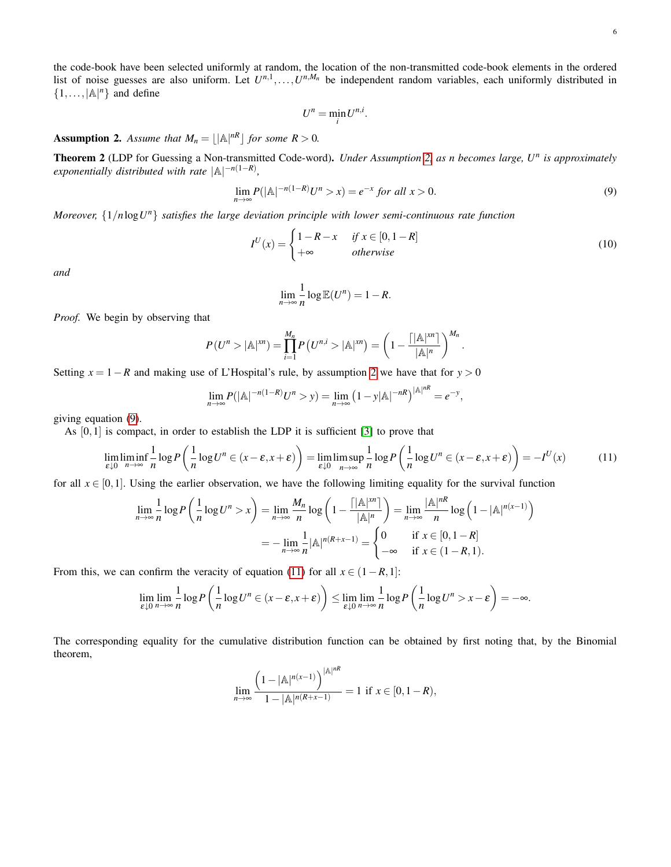the code-book have been selected uniformly at random, the location of the non-transmitted code-book elements in the ordered list of noise guesses are also uniform. Let  $U^{n,1}, \ldots, U^{n,M_n}$  be independent random variables, each uniformly distributed in  $\{1,\ldots,|\mathbb{A}|^n\}$  and define

<span id="page-5-4"></span><span id="page-5-2"></span>
$$
U^n = \min_i U^{n,i}.
$$

<span id="page-5-1"></span>**Assumption 2.** Assume that  $M_n = |\mathbb{A}|^{nR}$  for some  $R > 0$ .

<span id="page-5-0"></span>Theorem 2 (LDP for Guessing a Non-transmitted Code-word). *Under Assumption [2,](#page-5-1) as n becomes large, U<sup>n</sup> is approximately*  $exponentially distributed with rate  $|A|^{-n(1-R)}$ ,$ 

$$
\lim_{n \to \infty} P(|\mathbb{A}|^{-n(1-R)} U^n > x) = e^{-x} \text{ for all } x > 0.
$$
\n
$$
(9)
$$

*Moreover,* {1/*n*log*U <sup>n</sup>*} *satisfies the large deviation principle with lower semi-continuous rate function*

$$
I^{U}(x) = \begin{cases} 1 - R - x & \text{if } x \in [0, 1 - R] \\ +\infty & \text{otherwise} \end{cases}
$$
 (10)

*and*

<span id="page-5-3"></span>
$$
\lim_{n\to\infty}\frac{1}{n}\log\mathbb{E}(U^n)=1-R.
$$

*Proof.* We begin by observing that

$$
P(U^{n} > |\mathbb{A}|^{xn}) = \prod_{i=1}^{M_n} P\left(U^{n,i} > |\mathbb{A}|^{xn}\right) = \left(1 - \frac{\left\lceil |\mathbb{A}|^{xn} \right\rceil}{|\mathbb{A}|^n}\right)^{M_n}.
$$

Setting  $x = 1 - R$  and making use of L'Hospital's rule, by assumption [2](#page-5-1) we have that for  $y > 0$ 

$$
\lim_{n \to \infty} P(|\mathbb{A}|^{-n(1-R)} U^n > y) = \lim_{n \to \infty} (1 - y |\mathbb{A}|^{-nR})^{|\mathbb{A}|^{nR}} = e^{-y},
$$

giving equation [\(9\)](#page-5-2).

As [0,1] is compact, in order to establish the LDP it is sufficient [\[3\]](#page-19-1) to prove that

$$
\lim_{\varepsilon \downarrow 0} \liminf_{n \to \infty} \frac{1}{n} \log P\left(\frac{1}{n} \log U^n \in (x - \varepsilon, x + \varepsilon)\right) = \lim_{\varepsilon \downarrow 0} \limsup_{n \to \infty} \frac{1}{n} \log P\left(\frac{1}{n} \log U^n \in (x - \varepsilon, x + \varepsilon)\right) = -I^U(x) \tag{11}
$$

for all  $x \in [0,1]$ . Using the earlier observation, we have the following limiting equality for the survival function

$$
\lim_{n \to \infty} \frac{1}{n} \log P\left(\frac{1}{n} \log U^n > x\right) = \lim_{n \to \infty} \frac{M_n}{n} \log \left(1 - \frac{\left\lceil |\mathbb{A}|^{xn} \right\rceil}{|\mathbb{A}|^n}\right) = \lim_{n \to \infty} \frac{|\mathbb{A}|^{nR}}{n} \log \left(1 - |\mathbb{A}|^{n(x-1)}\right)
$$

$$
= -\lim_{n \to \infty} \frac{1}{n} |\mathbb{A}|^{n(R+x-1)} = \begin{cases} 0 & \text{if } x \in [0, 1-R] \\ -\infty & \text{if } x \in (1-R, 1). \end{cases}
$$

From this, we can confirm the veracity of equation [\(11\)](#page-5-3) for all  $x \in (1 - R, 1]$ :

$$
\lim_{\varepsilon \downarrow 0} \lim_{n \to \infty} \frac{1}{n} \log P\left(\frac{1}{n} \log U^n \in (x - \varepsilon, x + \varepsilon)\right) \le \lim_{\varepsilon \downarrow 0} \lim_{n \to \infty} \frac{1}{n} \log P\left(\frac{1}{n} \log U^n > x - \varepsilon\right) = -\infty.
$$

The corresponding equality for the cumulative distribution function can be obtained by first noting that, by the Binomial theorem,

$$
\lim_{n\rightarrow\infty}\frac{\left(1-|{\mathbb A}|^{n(x-1)}\right)^{|{\mathbb A}|^{nR}}}{1-|{\mathbb A}|^{n(R+x-1)}}=1\ \text{ if }x\in[0,1-R),
$$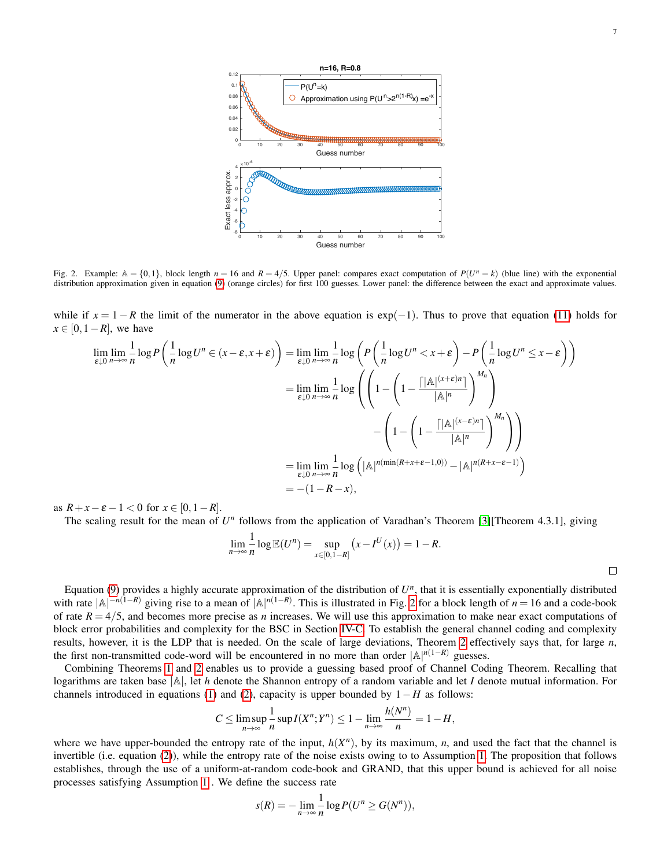

<span id="page-6-0"></span>Fig. 2. Example:  $\mathbb{A} = \{0,1\}$ , block length  $n = 16$  and  $R = 4/5$ . Upper panel: compares exact computation of  $P(U^n = k)$  (blue line) with the exponential distribution approximation given in equation [\(9\)](#page-5-2) (orange circles) for first 100 guesses. Lower panel: the difference between the exact and approximate values.

while if  $x = 1 - R$  the limit of the numerator in the above equation is  $exp(-1)$ . Thus to prove that equation [\(11\)](#page-5-3) holds for  $x \in [0, 1 - R]$ , we have

$$
\lim_{\varepsilon \downarrow 0} \lim_{n \to \infty} \frac{1}{n} \log P \left( \frac{1}{n} \log U^n \in (x - \varepsilon, x + \varepsilon) \right) = \lim_{\varepsilon \downarrow 0} \lim_{n \to \infty} \frac{1}{n} \log \left( P \left( \frac{1}{n} \log U^n < x + \varepsilon \right) - P \left( \frac{1}{n} \log U^n \le x - \varepsilon \right) \right)
$$
\n
$$
= \lim_{\varepsilon \downarrow 0} \lim_{n \to \infty} \frac{1}{n} \log \left( \left( 1 - \left( 1 - \frac{\left[ |\mathbb{A}|^{(x + \varepsilon)n} \right]}{|\mathbb{A}|^n} \right)^{M_n} \right) - \left( 1 - \left( 1 - \frac{\left[ |\mathbb{A}|^{(x + \varepsilon)n} \right]}{|\mathbb{A}|^n} \right)^{M_n} \right) \right)
$$
\n
$$
= \lim_{\varepsilon \downarrow 0} \lim_{n \to \infty} \frac{1}{n} \log \left( |\mathbb{A}|^{n(\min(R + x + \varepsilon - 1, 0))} - |\mathbb{A}|^{n(R + x - \varepsilon - 1)} \right)
$$
\n
$$
= -(1 - R - x),
$$

as  $R + x - \varepsilon - 1 < 0$  for  $x \in [0, 1 - R]$ .

The scaling result for the mean of  $U^n$  follows from the application of Varadhan's Theorem [\[3\]](#page-19-1)[Theorem 4.3.1], giving

$$
\lim_{n \to \infty} \frac{1}{n} \log \mathbb{E}(U^n) = \sup_{x \in [0, 1-R]} (x - I^U(x)) = 1 - R.
$$

Equation [\(9\)](#page-5-2) provides a highly accurate approximation of the distribution of  $U<sup>n</sup>$ , that it is essentially exponentially distributed with rate  $|A|^{-n(1-R)}$  giving rise to a mean of  $|A|^{n(1-R)}$ . This is illustrated in Fig. [2](#page-6-0) for a block length of  $n = 16$  and a code-book of rate  $R = 4/5$ , and becomes more precise as *n* increases. We will use this approximation to make near exact computations of block error probabilities and complexity for the BSC in Section [IV-C.](#page-14-0) To establish the general channel coding and complexity results, however, it is the LDP that is needed. On the scale of large deviations, Theorem [2](#page-5-0) effectively says that, for large *n*, the first non-transmitted code-word will be encountered in no more than order  $|A|^{n(1-R)}$  guesses.

Combining Theorems [1](#page-4-0) and [2](#page-5-0) enables us to provide a guessing based proof of Channel Coding Theorem. Recalling that logarithms are taken base |A|, let *h* denote the Shannon entropy of a random variable and let *I* denote mutual information. For channels introduced in equations [\(1\)](#page-0-1) and [\(2\)](#page-0-2), capacity is upper bounded by 1−*H* as follows:

$$
C \leq \limsup_{n \to \infty} \frac{1}{n} \sup I(X^n;Y^n) \leq 1 - \lim_{n \to \infty} \frac{h(N^n)}{n} = 1 - H,
$$

where we have upper-bounded the entropy rate of the input,  $h(X^n)$ , by its maximum, *n*, and used the fact that the channel is invertible (i.e. equation [\(2\)](#page-0-2)), while the entropy rate of the noise exists owing to to Assumption [1.](#page-3-1) The proposition that follows establishes, through the use of a uniform-at-random code-book and GRAND, that this upper bound is achieved for all noise processes satisfying Assumption [1](#page-3-1) . We define the success rate

$$
s(R) = -\lim_{n \to \infty} \frac{1}{n} \log P(U^n \ge G(N^n)),
$$

 $\Box$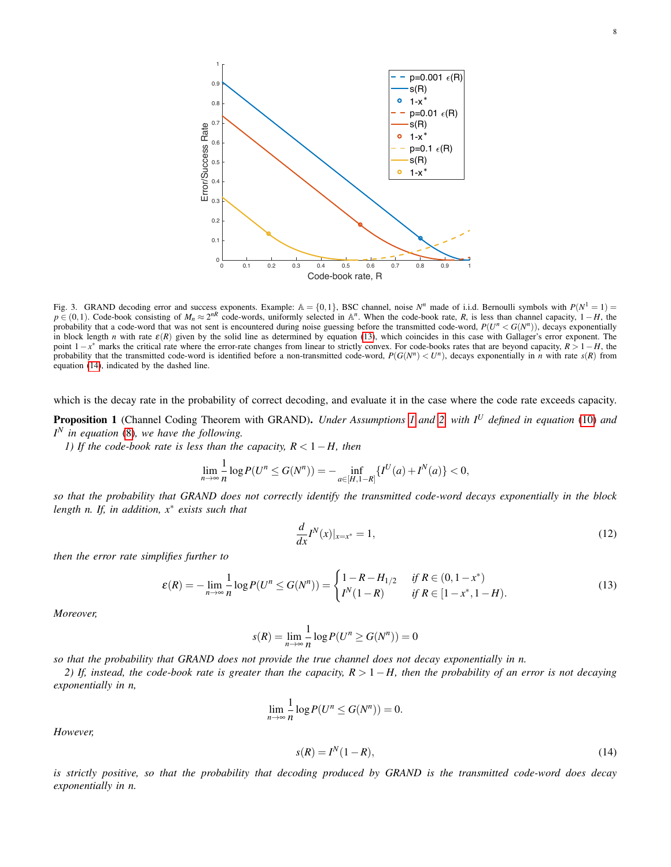

<span id="page-7-3"></span>Fig. 3. GRAND decoding error and success exponents. Example:  $A = \{0, 1\}$ , BSC channel, noise  $N^n$  made of i.i.d. Bernoulli symbols with  $P(N^1 = 1)$  $p \in (0,1)$ . Code-book consisting of  $M_n \approx 2^{nR}$  code-words, uniformly selected in A<sup>*n*</sup>. When the code-book rate, *R*, is less than channel capacity, 1–*H*, the probability that a code-word that was not sent is encountered during noise guessing before the transmitted code-word,  $P(U^n < G(N^n))$ , decays exponentially in block length *n* with rate  $\varepsilon(R)$  given by the solid line as determined by equation [\(13\)](#page-7-1), which coincides in this case with Gallager's error exponent. The point 1−*x* <sup>∗</sup> marks the critical rate where the error-rate changes from linear to strictly convex. For code-books rates that are beyond capacity, *R* > 1−*H*, the probability that the transmitted code-word is identified before a non-transmitted code-word,  $P(G(N^n) < U^n)$ , decays exponentially in *n* with rate  $s(R)$  from equation [\(14\)](#page-7-2), indicated by the dashed line.

which is the decay rate in the probability of correct decoding, and evaluate it in the case where the code rate exceeds capacity.

<span id="page-7-0"></span>Proposition 1 (Channel Coding Theorem with GRAND). *Under Assumptions [1](#page-3-1) and [2,](#page-5-1) with I<sup>U</sup> defined in equation* [\(10\)](#page-5-4) *and I <sup>N</sup> in equation* [\(8\)](#page-4-2)*, we have the following.*

*1) If the code-book rate is less than the capacity, R* < 1−*H, then*

$$
\lim_{n \to \infty} \frac{1}{n} \log P(U^n \le G(N^n)) = - \inf_{a \in [H, 1-R]} \{I^U(a) + I^N(a)\} < 0,
$$

*so that the probability that GRAND does not correctly identify the transmitted code-word decays exponentially in the block length n. If, in addition, x*<sup>∗</sup> *exists such that*

<span id="page-7-4"></span><span id="page-7-1"></span>
$$
\frac{d}{dx}I^{N}(x)|_{x=x^{*}}=1,
$$
\n(12)

*then the error rate simplifies further to*

$$
\varepsilon(R) = -\lim_{n \to \infty} \frac{1}{n} \log P(U^n \le G(N^n)) = \begin{cases} 1 - R - H_{1/2} & \text{if } R \in (0, 1 - x^*)\\ I^N(1 - R) & \text{if } R \in [1 - x^*, 1 - H). \end{cases} \tag{13}
$$

*Moreover,*

$$
s(R) = \lim_{n \to \infty} \frac{1}{n} \log P(U^n \ge G(N^n)) = 0
$$

*so that the probability that GRAND does not provide the true channel does not decay exponentially in n.*

*2) If, instead, the code-book rate is greater than the capacity, R* > 1−*H, then the probability of an error is not decaying exponentially in n,*

$$
\lim_{n\to\infty}\frac{1}{n}\log P(U^n\leq G(N^n))=0.
$$

*However,*

<span id="page-7-2"></span>
$$
s(R) = IN(1 - R),
$$
\n(14)

*is strictly positive, so that the probability that decoding produced by GRAND is the transmitted code-word does decay exponentially in n.*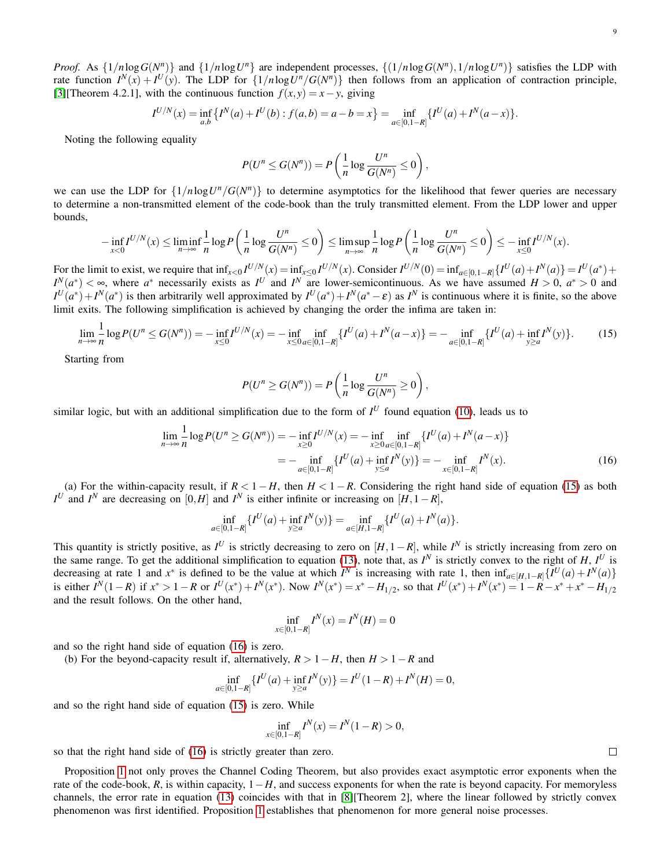*Proof.* As  $\{1/n \log G(N^n)\}\$ and  $\{1/n \log U^n\}$  are independent processes,  $\{(1/n \log G(N^n), 1/n \log U^n)\}\$  satisfies the LDP with rate function  $I^N(x) + I^U(y)$ . The LDP for  $\{1/n \log U^n / G(N^n)\}\$  then follows from an application of contraction principle, [\[3\]](#page-19-1)[Theorem 4.2.1], with the continuous function  $f(x, y) = x - y$ , giving

$$
I^{U/N}(x) = \inf_{a,b} \{I^N(a) + I^U(b) : f(a,b) = a - b = x\} = \inf_{a \in [0,1-R]} \{I^U(a) + I^N(a-x)\}.
$$

Noting the following equality

$$
P(U^n \leq G(N^n)) = P\left(\frac{1}{n}\log\frac{U^n}{G(N^n)} \leq 0\right),\,
$$

we can use the LDP for  $\{1/n \log U^n / G(N^n)\}$  to determine asymptotics for the likelihood that fewer queries are necessary to determine a non-transmitted element of the code-book than the truly transmitted element. From the LDP lower and upper bounds,

$$
-\inf_{x<0}I^{U/N}(x)\leq \liminf_{n\to\infty}\frac{1}{n}\log P\left(\frac{1}{n}\log\frac{U^n}{G(N^n)}\leq 0\right)\leq \limsup_{n\to\infty}\frac{1}{n}\log P\left(\frac{1}{n}\log\frac{U^n}{G(N^n)}\leq 0\right)\leq -\inf_{x\leq 0}I^{U/N}(x).
$$

For the limit to exist, we require that  $\inf_{x<0} I^{U/N}(x) = \inf_{x\leq0} I^{U/N}(x)$ . Consider  $I^{U/N}(0) = \inf_{a\in[0,1-R]}\{I^U(a) + I^N(a)\} = I^U(a^*) + I^N(a)$  $I^N(a^*) < \infty$ , where *a*<sup>\*</sup> necessarily exists as *I*<sup>*U*</sup> and *I*<sup>*N*</sup> are lower-semicontinuous. As we have assumed *H* > 0, *a*<sup>\*</sup> > 0 and  $I^U(a^*) + I^N(a^*)$  is then arbitrarily well approximated by  $I^U(a^*) + I^N(a^* - \varepsilon)$  as  $I^N$  is continuous where it is finite, so the above limit exits. The following simplification is achieved by changing the order the infima are taken in:

$$
\lim_{n \to \infty} \frac{1}{n} \log P(U^n \le G(N^n)) = -\inf_{x \le 0} I^{U/N}(x) = -\inf_{x \le 0} \inf_{a \in [0, 1 - R]} \{I^U(a) + I^N(a - x)\} = -\inf_{a \in [0, 1 - R]} \{I^U(a) + \inf_{y \ge a} I^N(y)\}.
$$
 (15)

Starting from

$$
P(U^n \ge G(N^n)) = P\left(\frac{1}{n}\log\frac{U^n}{G(N^n)} \ge 0\right)
$$

similar logic, but with an additional simplification due to the form of  $I^U$  found equation [\(10\)](#page-5-4), leads us to

$$
\lim_{n \to \infty} \frac{1}{n} \log P(U^n \ge G(N^n)) = -\inf_{x \ge 0} I^{U/N}(x) = -\inf_{x \ge 0} \inf_{a \in [0, 1-R]} \{I^U(a) + I^N(a-x)\}
$$

$$
= -\inf_{a \in [0, 1-R]} \{I^U(a) + \inf_{y \le a} I^N(y)\} = -\inf_{x \in [0, 1-R]} I^N(x). \tag{16}
$$

<span id="page-8-1"></span><span id="page-8-0"></span>,

(a) For the within-capacity result, if  $R < 1 - H$ , then  $H < 1 - R$ . Considering the right hand side of equation [\(15\)](#page-8-0) as both  $I^U$  and  $I^N$  are decreasing on [0,*H*] and  $I^N$  is either infinite or increasing on [*H*,1−*R*],

$$
\inf_{a \in [0,1-R]} \{I^U(a) + \inf_{y \ge a} I^N(y)\} = \inf_{a \in [H,1-R]} \{I^U(a) + I^N(a)\}.
$$

This quantity is strictly positive, as  $I^U$  is strictly decreasing to zero on  $[H, 1 - R]$ , while  $I^N$  is strictly increasing from zero on the same range. To get the additional simplification to equation [\(13\)](#page-7-1), note that, as  $I^N$  is strictly convex to the right of *H*,  $I^U$  is decreasing at rate 1 and  $x^*$  is defined to be the value at which  $I^N$  is increasing with rate 1, then  $\inf_{a \in [H, 1-R]} \{I^U(a) + I^N(a)\}\$ is either  $I^N(1-R)$  if  $x^* > 1-R$  or  $I^U(x^*) + I^N(x^*)$ . Now  $I^N(x^*) = x^* - H_{1/2}$ , so that  $I^U(x^*) + I^N(x^*) = 1 - R - x^* + x^* - H_{1/2}$ and the result follows. On the other hand,

$$
\inf_{x \in [0, 1-R]} I^N(x) = I^N(H) = 0
$$

and so the right hand side of equation [\(16\)](#page-8-1) is zero.

(b) For the beyond-capacity result if, alternatively,  $R > 1 - H$ , then  $H > 1 - R$  and

$$
\inf_{a \in [0,1-R]} \{ I^U(a) + \inf_{y \ge a} I^N(y) \} = I^U(1-R) + I^N(H) = 0,
$$

and so the right hand side of equation [\(15\)](#page-8-0) is zero. While

$$
\inf_{x \in [0, 1-R]} I^N(x) = I^N(1-R) > 0,
$$

so that the right hand side of [\(16\)](#page-8-1) is strictly greater than zero.

Proposition [1](#page-7-0) not only proves the Channel Coding Theorem, but also provides exact asymptotic error exponents when the rate of the code-book, *R*, is within capacity, 1−*H*, and success exponents for when the rate is beyond capacity. For memoryless channels, the error rate in equation [\(13\)](#page-7-1) coincides with that in [\[8\]](#page-19-6)[Theorem 2], where the linear followed by strictly convex phenomenon was first identified. Proposition [1](#page-7-0) establishes that phenomenon for more general noise processes.

 $\Box$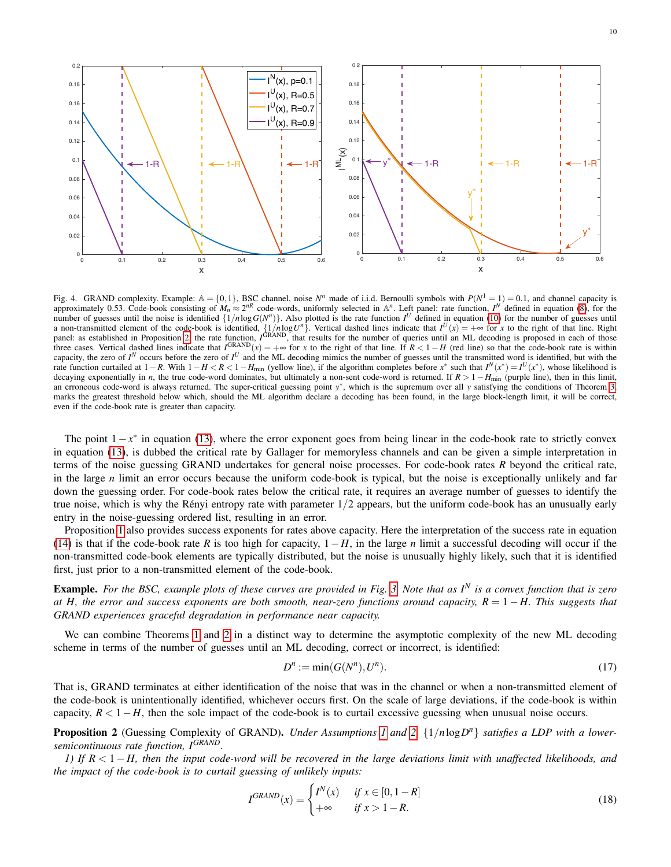

<span id="page-9-2"></span>Fig. 4. GRAND complexity. Example:  $\mathbb{A} = \{0,1\}$ , BSC channel, noise  $N^n$  made of i.i.d. Bernoulli symbols with  $P(N^1 = 1) = 0.1$ , and channel capacity is approximately 0.53. Code-book consisting of  $M_n \approx 2^{nR}$  code-words, uniformly selected in A<sup>*n*</sup>. Left panel: rate function, *I*<sup>N</sup> defined in equation [\(8\)](#page-4-2), for the number of guesses until the noise is identified  $\{1/n \log G(N^n)\}\$ . Also plotted is the rate function  $I^U$  defined in equation [\(10\)](#page-5-4) for the number of guesses until a non-transmitted element of the code-book is identified,  $\{1/n \log U^n\}$ . Vertical dashed lines indicate that  $I^U(x) = +\infty$  for *x* to the right of that line. Right panel: as established in Proposition [2,](#page-9-0) the rate function,  $I^{GRAND}$ , that results for the number of queries until an ML decoding is proposed in each of those three cases. Vertical dashed lines indicate that  $I^{GRAND}(x) = +\infty$  for *x* to the right of that line. If  $R < 1 - H$  (red line) so that the code-book rate is within capacity, the zero of  $I^N$  occurs before the zero of  $I^U$  and the ML decoding mimics the number of guesses until the transmitted word is identified, but with the rate function curtailed at  $1 - R$ . With  $1 - H < R < 1 - H_{\text{min}}$  (yellow line), if the algorithm completes before  $x^*$  such that  $I^N(x^*) = I^U(x^*)$ , whose likelihood is decaying exponentially in *n*, the true code-word dominates, but ultimately a non-sent code-word is returned. If  $R > 1 - H_{\text{min}}$  (purple line), then in this limit, an erroneous code-word is always returned. The super-critical guessing point *y*<sup>\*</sup>, which is the supremum over all *y* satisfying the conditions of Theorem [3,](#page-11-1) marks the greatest threshold below which, should the ML algorithm declare a decoding has been found, in the large block-length limit, it will be correct, even if the code-book rate is greater than capacity.

The point  $1-x^*$  in equation [\(13\)](#page-7-1), where the error exponent goes from being linear in the code-book rate to strictly convex in equation [\(13\)](#page-7-1), is dubbed the critical rate by Gallager for memoryless channels and can be given a simple interpretation in terms of the noise guessing GRAND undertakes for general noise processes. For code-book rates *R* beyond the critical rate, in the large *n* limit an error occurs because the uniform code-book is typical, but the noise is exceptionally unlikely and far down the guessing order. For code-book rates below the critical rate, it requires an average number of guesses to identify the true noise, which is why the Rényi entropy rate with parameter  $1/2$  appears, but the uniform code-book has an unusually early entry in the noise-guessing ordered list, resulting in an error.

Proposition [1](#page-7-0) also provides success exponents for rates above capacity. Here the interpretation of the success rate in equation [\(14\)](#page-7-2) is that if the code-book rate *R* is too high for capacity,  $1-H$ , in the large *n* limit a successful decoding will occur if the non-transmitted code-book elements are typically distributed, but the noise is unusually highly likely, such that it is identified first, just prior to a non-transmitted element of the code-book.

Example. *For the BSC, example plots of these curves are provided in Fig. [3.](#page-7-3) Note that as I<sup>N</sup> is a convex function that is zero at H, the error and success exponents are both smooth, near-zero functions around capacity, R* = 1 − *H. This suggests that GRAND experiences graceful degradation in performance near capacity.*

We can combine Theorems [1](#page-4-0) and [2](#page-5-0) in a distinct way to determine the asymptotic complexity of the new ML decoding scheme in terms of the number of guesses until an ML decoding, correct or incorrect, is identified:

<span id="page-9-1"></span>
$$
D^n := \min(G(N^n), U^n). \tag{17}
$$

That is, GRAND terminates at either identification of the noise that was in the channel or when a non-transmitted element of the code-book is unintentionally identified, whichever occurs first. On the scale of large deviations, if the code-book is within capacity,  $R < 1-H$ , then the sole impact of the code-book is to curtail excessive guessing when unusual noise occurs.

<span id="page-9-0"></span>Proposition 2 (Guessing Complexity of GRAND). *Under Assumptions [1](#page-3-1) and 2*,  $\{1/n \log D^n\}$  *satisfies a LDP with a lowersemicontinuous rate function, IGRAND.*

*1) If R* < 1−*H, then the input code-word will be recovered in the large deviations limit with unaffected likelihoods, and the impact of the code-book is to curtail guessing of unlikely inputs:*

$$
I^{GRAND}(x) = \begin{cases} I^N(x) & \text{if } x \in [0, 1 - R] \\ +\infty & \text{if } x > 1 - R. \end{cases} \tag{18}
$$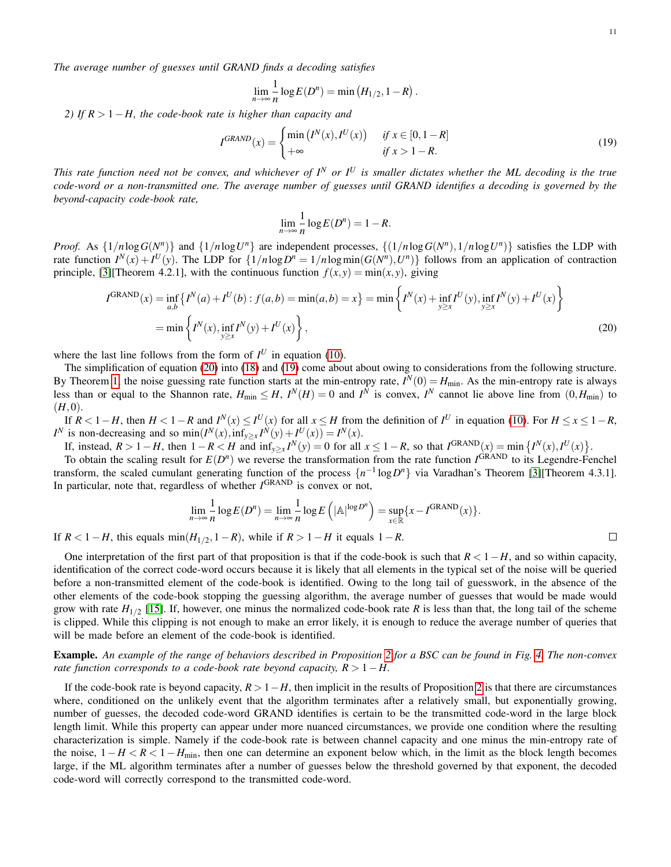*The average number of guesses until GRAND finds a decoding satisfies*

$$
\lim_{n\to\infty}\frac{1}{n}\log E(D^n)=\min\left(H_{1/2},1-R\right).
$$

*2) If R* > 1−*H, the code-book rate is higher than capacity and*

$$
I^{GRAND}(x) = \begin{cases} \min(I^N(x), I^U(x)) & \text{if } x \in [0, 1 - R] \\ +\infty & \text{if } x > 1 - R. \end{cases} \tag{19}
$$

*This rate function need not be convex, and whichever of I<sup>N</sup> or I<sup>U</sup> is smaller dictates whether the ML decoding is the true code-word or a non-transmitted one. The average number of guesses until GRAND identifies a decoding is governed by the beyond-capacity code-book rate,*

<span id="page-10-1"></span>
$$
\lim_{n \to \infty} \frac{1}{n} \log E(D^n) = 1 - R.
$$

*Proof.* As  $\{1/n \log G(N^n)\}\$ and  $\{1/n \log U^n\}$  are independent processes,  $\{(1/n \log G(N^n), 1/n \log U^n)\}\$  satisfies the LDP with rate function  $I^N(x) + I^U(y)$ . The LDP for  $\{1/n \log D^n = 1/n \log \min(G(N^n), U^n)\}$  follows from an application of contraction principle, [\[3\]](#page-19-1)[Theorem 4.2.1], with the continuous function  $f(x, y) = min(x, y)$ , giving

$$
I^{GRAND}(x) = \inf_{a,b} \left\{ I^N(a) + I^U(b) : f(a,b) = \min(a,b) = x \right\} = \min \left\{ I^N(x) + \inf_{y \ge x} I^U(y), \inf_{y \ge x} I^N(y) + I^U(x) \right\}
$$
  
=  $\min \left\{ I^N(x), \inf_{y \ge x} I^N(y) + I^U(x) \right\},$  (20)

where the last line follows from the form of  $I^U$  in equation [\(10\)](#page-5-4).

The simplification of equation [\(20\)](#page-10-0) into [\(18\)](#page-9-1) and [\(19\)](#page-10-1) come about about owing to considerations from the following structure. By Theorem [1,](#page-4-0) the noise guessing rate function starts at the min-entropy rate,  $I^N(0) = H_{min}$ . As the min-entropy rate is always less than or equal to the Shannon rate,  $H_{min} \leq H$ ,  $I^N(H) = 0$  and  $I^N$  is convex,  $I^N$  cannot lie above line from  $(0, H_{min})$  to  $(H,0).$ 

If  $R < 1 - H$ , then  $H < 1 - R$  and  $I^N(x) \leq I^U(x)$  for all  $x \leq H$  from the definition of  $I^U$  in equation [\(10\)](#page-5-4). For  $H \leq x \leq 1 - R$ , *I*<sup>N</sup> is non-decreasing and so min(*I*<sup>N</sup>(*x*), inf<sub>*y*≥*x*</sub> *I*<sup>N</sup>(*y*) + *I*<sup>U</sup>(*x*)) = *I*<sup>N</sup>(*x*).

If, instead,  $R > 1 - H$ , then  $1 - R < H$  and  $\inf_{y \ge x} I^N(y) = 0$  for all  $x \le 1 - R$ , so that  $I^{GRAND}(x) = \min \{I^N(x), I^U(x)\}.$ 

To obtain the scaling result for  $E(D^n)$  we reverse the transformation from the rate function  $I^{GRAND}$  to its Legendre-Fenchel transform, the scaled cumulant generating function of the process  $\{n^{-1} \log D^n\}$  via Varadhan's Theorem [\[3\]](#page-19-1)[Theorem 4.3.1]. In particular, note that, regardless of whether *I* GRAND is convex or not,

$$
\lim_{n \to \infty} \frac{1}{n} \log E(D^n) = \lim_{n \to \infty} \frac{1}{n} \log E\left(|\mathbb{A}|^{\log D^n}\right) = \sup_{x \in \mathbb{R}} \{x - I^{\text{GRAND}}(x)\}.
$$

If  $R < 1 - H$ , this equals  $\min(H_{1/2}, 1 - R)$ , while if  $R > 1 - H$  it equals  $1 - R$ .

One interpretation of the first part of that proposition is that if the code-book is such that *R* < 1−*H*, and so within capacity, identification of the correct code-word occurs because it is likely that all elements in the typical set of the noise will be queried before a non-transmitted element of the code-book is identified. Owing to the long tail of guesswork, in the absence of the other elements of the code-book stopping the guessing algorithm, the average number of guesses that would be made would grow with rate  $H_{1/2}$  [\[15\]](#page-19-13). If, however, one minus the normalized code-book rate R is less than that, the long tail of the scheme is clipped. While this clipping is not enough to make an error likely, it is enough to reduce the average number of queries that will be made before an element of the code-book is identified.

Example. *An example of the range of behaviors described in Proposition [2](#page-9-0) for a BSC can be found in Fig. [4.](#page-9-2) The non-convex rate function corresponds to a code-book rate beyond capacity, R* > 1−*H*.

If the code-book rate is beyond capacity,  $R > 1 - H$ , then implicit in the results of Proposition [2](#page-9-0) is that there are circumstances where, conditioned on the unlikely event that the algorithm terminates after a relatively small, but exponentially growing, number of guesses, the decoded code-word GRAND identifies is certain to be the transmitted code-word in the large block length limit. While this property can appear under more nuanced circumstances, we provide one condition where the resulting characterization is simple. Namely if the code-book rate is between channel capacity and one minus the min-entropy rate of the noise,  $1 - H < R < 1 - H_{\text{min}}$ , then one can determine an exponent below which, in the limit as the block length becomes large, if the ML algorithm terminates after a number of guesses below the threshold governed by that exponent, the decoded code-word will correctly correspond to the transmitted code-word.

<span id="page-10-0"></span> $\Box$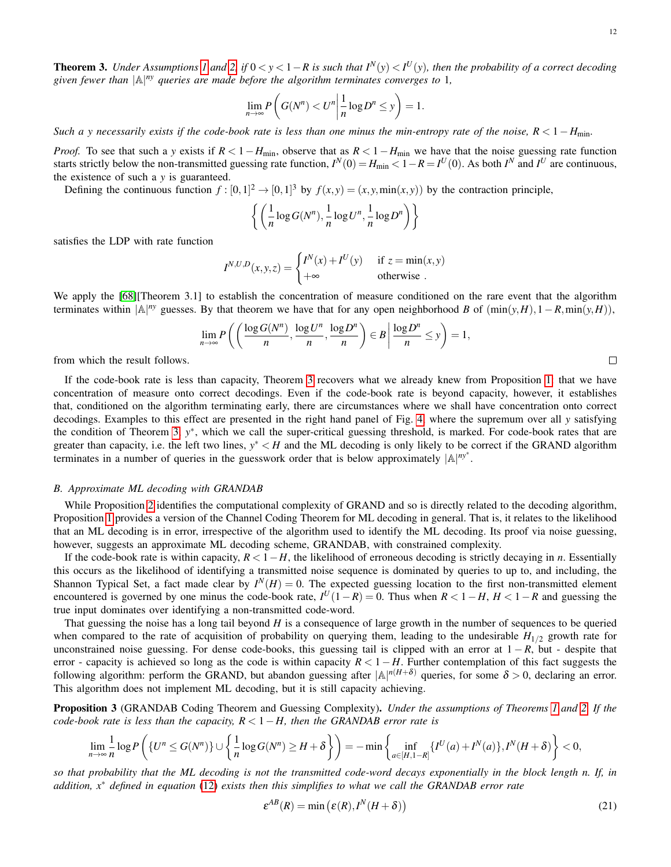<span id="page-11-1"></span>**Theorem 3.** Under Assumptions [1](#page-3-1) and [2,](#page-5-1) if  $0 < y < 1 - R$  is such that  $I^N(y) < I^U(y)$ , then the probability of a correct decoding *given fewer than* |A| *ny queries are made before the algorithm terminates converges to* 1*,*

$$
\lim_{n\to\infty} P\left(G(N^n) < U^n \middle| \frac{1}{n} \log D^n \le y\right) = 1.
$$

*Such a y necessarily exists if the code-book rate is less than one minus the min-entropy rate of the noise,*  $R < 1 - H_{\text{min}}$ *.* 

*Proof.* To see that such a *y* exists if  $R < 1 - H_{min}$ , observe that as  $R < 1 - H_{min}$  we have that the noise guessing rate function starts strictly below the non-transmitted guessing rate function,  $I^N(0) = H_{\text{min}} < 1 - R = I^U(0)$ . As both  $I^N$  and  $I^U$  are continuous, the existence of such a *y* is guaranteed.

Defining the continuous function  $f: [0,1]^2 \to [0,1]^3$  by  $f(x,y) = (x, y, min(x,y))$  by the contraction principle,

$$
\left\{ \left( \frac{1}{n} \log G(N^n), \frac{1}{n} \log U^n, \frac{1}{n} \log D^n \right) \right\}
$$

satisfies the LDP with rate function

$$
I^{N,U,D}(x,y,z) = \begin{cases} I^N(x) + I^U(y) & \text{if } z = \min(x,y) \\ +\infty & \text{otherwise} \end{cases}
$$

We apply the [\[68\]](#page-20-14)[Theorem 3.1] to establish the concentration of measure conditioned on the rare event that the algorithm terminates within  $|A|^{ny}$  guesses. By that theorem we have that for any open neighborhood *B* of  $(\min(y, H), 1 - R, \min(y, H))$ ,

$$
\lim_{n \to \infty} P\left(\left(\frac{\log G(N^n)}{n}, \frac{\log U^n}{n}, \frac{\log D^n}{n}\right) \in B \, \middle| \, \frac{\log D^n}{n} \le y\right) = 1,
$$

from which the result follows.

If the code-book rate is less than capacity, Theorem [3](#page-11-1) recovers what we already knew from Proposition [1:](#page-7-0) that we have concentration of measure onto correct decodings. Even if the code-book rate is beyond capacity, however, it establishes that, conditioned on the algorithm terminating early, there are circumstances where we shall have concentration onto correct decodings. Examples to this effect are presented in the right hand panel of Fig. [4,](#page-9-2) where the supremum over all *y* satisfying the condition of Theorem [3,](#page-11-1) y<sup>\*</sup>, which we call the super-critical guessing threshold, is marked. For code-book rates that are greater than capacity, i.e. the left two lines,  $y^* < H$  and the ML decoding is only likely to be correct if the GRAND algorithm terminates in a number of queries in the guesswork order that is below approximately |A| *ny*<sup>∗</sup> .

# <span id="page-11-0"></span>*B. Approximate ML decoding with GRANDAB*

While Proposition [2](#page-9-0) identifies the computational complexity of GRAND and so is directly related to the decoding algorithm, Proposition [1](#page-7-0) provides a version of the Channel Coding Theorem for ML decoding in general. That is, it relates to the likelihood that an ML decoding is in error, irrespective of the algorithm used to identify the ML decoding. Its proof via noise guessing, however, suggests an approximate ML decoding scheme, GRANDAB, with constrained complexity.

If the code-book rate is within capacity,  $R < 1 - H$ , the likelihood of erroneous decoding is strictly decaying in *n*. Essentially this occurs as the likelihood of identifying a transmitted noise sequence is dominated by queries to up to, and including, the Shannon Typical Set, a fact made clear by  $I^N(H) = 0$ . The expected guessing location to the first non-transmitted element encountered is governed by one minus the code-book rate,  $I^U(1-R) = 0$ . Thus when  $R < 1-H$ ,  $H < 1-R$  and guessing the true input dominates over identifying a non-transmitted code-word.

That guessing the noise has a long tail beyond *H* is a consequence of large growth in the number of sequences to be queried when compared to the rate of acquisition of probability on querying them, leading to the undesirable  $H_{1/2}$  growth rate for unconstrained noise guessing. For dense code-books, this guessing tail is clipped with an error at  $1 - R$ , but - despite that error - capacity is achieved so long as the code is within capacity *R* < 1−*H*. Further contemplation of this fact suggests the following algorithm: perform the GRAND, but abandon guessing after  $|\mathbb{A}|^{n(H+\delta)}$  queries, for some  $\delta > 0$ , declaring an error. This algorithm does not implement ML decoding, but it is still capacity achieving.

<span id="page-11-2"></span>Proposition 3 (GRANDAB Coding Theorem and Guessing Complexity). *Under the assumptions of Theorems [1](#page-4-0) and [2.](#page-5-0) If the code-book rate is less than the capacity, R* < 1−*H, then the GRANDAB error rate is*

$$
\lim_{n\to\infty}\frac{1}{n}\log P\left(\left\{U^n\leq G(N^n)\right\}\cup\left\{\frac{1}{n}\log G(N^n)\geq H+\delta\right\}\right)=-\min\left\{\inf_{a\in[H,1-R]}\left\{I^U(a)+I^N(a)\right\},I^N(H+\delta)\right\}<0,
$$

*so that probability that the ML decoding is not the transmitted code-word decays exponentially in the block length n. If, in addition, x*<sup>∗</sup> *defined in equation* [\(12\)](#page-7-4) *exists then this simplifies to what we call the GRANDAB error rate*

<span id="page-11-3"></span>
$$
\varepsilon^{AB}(R) = \min\left(\varepsilon(R), I^N(H+\delta)\right) \tag{21}
$$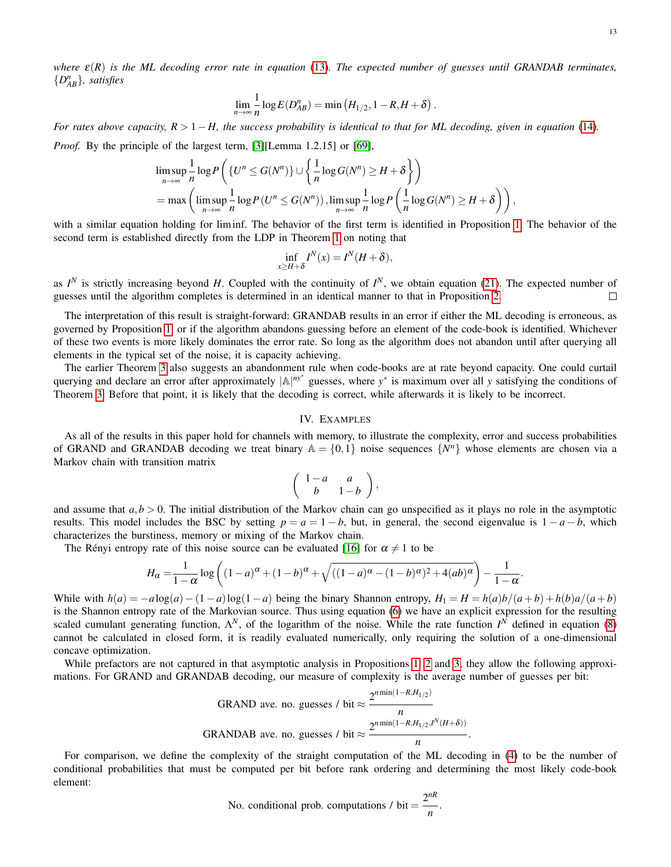$$
\lim_{n\to\infty}\frac{1}{n}\log E(D_{AB}^n)=\min\left(H_{1/2},1-R,H+\delta\right).
$$

*For rates above capacity, R* > 1−*H, the success probability is identical to that for ML decoding, given in equation* [\(14\)](#page-7-2)*. Proof.* By the principle of the largest term, [\[3\]](#page-19-1)[Lemma 1.2.15] or [\[69\]](#page-20-15),

$$
\limsup_{n \to \infty} \frac{1}{n} \log P\left(\{U^n \le G(N^n)\} \cup \left\{\frac{1}{n} \log G(N^n) \ge H + \delta\right\}\right)
$$
  
= max  $\left(\limsup_{n \to \infty} \frac{1}{n} \log P(U^n \le G(N^n))\right)$ ,  $\limsup_{n \to \infty} \frac{1}{n} \log P\left(\frac{1}{n} \log G(N^n) \ge H + \delta\right)\right)$ ,

with a similar equation holding for liminf. The behavior of the first term is identified in Proposition [1.](#page-7-0) The behavior of the second term is established directly from the LDP in Theorem [1](#page-4-0) on noting that

$$
\inf_{x \ge H + \delta} I^N(x) = I^N(H + \delta),
$$

as  $I^N$  is strictly increasing beyond *H*. Coupled with the continuity of  $I^N$ , we obtain equation [\(21\)](#page-11-3). The expected number of guesses until the algorithm completes is determined in an identical manner to that in Proposition [2.](#page-9-0)  $\Box$ 

The interpretation of this result is straight-forward: GRANDAB results in an error if either the ML decoding is erroneous, as governed by Proposition [1,](#page-7-0) or if the algorithm abandons guessing before an element of the code-book is identified. Whichever of these two events is more likely dominates the error rate. So long as the algorithm does not abandon until after querying all elements in the typical set of the noise, it is capacity achieving.

The earlier Theorem [3](#page-11-1) also suggests an abandonment rule when code-books are at rate beyond capacity. One could curtail querying and declare an error after approximately |A|<sup>ny\*</sup> guesses, where *y*<sup>∗</sup> is maximum over all *y* satisfying the conditions of Theorem [3.](#page-11-1) Before that point, it is likely that the decoding is correct, while afterwards it is likely to be incorrect.

# IV. EXAMPLES

<span id="page-12-0"></span>As all of the results in this paper hold for channels with memory, to illustrate the complexity, error and success probabilities of GRAND and GRANDAB decoding we treat binary  $A = \{0, 1\}$  noise sequences  $\{N^n\}$  whose elements are chosen via a Markov chain with transition matrix

$$
\left(\begin{array}{cc} 1-a & a \\ b & 1-b \end{array}\right),
$$

and assume that  $a, b > 0$ . The initial distribution of the Markov chain can go unspecified as it plays no role in the asymptotic results. This model includes the BSC by setting  $p = a = 1 - b$ , but, in general, the second eigenvalue is  $1 - a - b$ , which characterizes the burstiness, memory or mixing of the Markov chain.

The Rényi entropy rate of this noise source can be evaluated [\[16\]](#page-19-14) for  $\alpha \neq 1$  to be

$$
H_{\alpha} = \frac{1}{1-\alpha} \log \left( (1-a)^{\alpha} + (1-b)^{\alpha} + \sqrt{((1-a)^{\alpha} - (1-b)^{\alpha})^2 + 4(ab)^{\alpha}} \right) - \frac{1}{1-\alpha}.
$$

While with  $h(a) = -a \log(a) - (1-a) \log(1-a)$  being the binary Shannon entropy,  $H_1 = H = h(a)b/(a+b) + h(b)a/(a+b)$ is the Shannon entropy rate of the Markovian source. Thus using equation [\(6\)](#page-3-2) we have an explicit expression for the resulting scaled cumulant generating function,  $\Lambda^N$ , of the logarithm of the noise. While the rate function  $I^N$  defined in equation [\(8\)](#page-4-2) cannot be calculated in closed form, it is readily evaluated numerically, only requiring the solution of a one-dimensional concave optimization.

While prefactors are not captured in that asymptotic analysis in Propositions [1,](#page-7-0) [2](#page-9-0) and [3,](#page-11-2) they allow the following approximations. For GRAND and GRANDAB decoding, our measure of complexity is the average number of guesses per bit:

$$
GRAND ave. no. guesses / bit ≈ \frac{2^{n\min(1-R,H_{1/2})}}{n}
$$
  
GRANDAB ave. no. guesses / bit ≈  $\frac{2^{n\min(1-R,H_{1/2},I^N(H+\delta))}}{n}$ .

For comparison, we define the complexity of the straight computation of the ML decoding in [\(4\)](#page-0-3) to be the number of conditional probabilities that must be computed per bit before rank ordering and determining the most likely code-book element:

No. conditional prob. computations / bit = 
$$
\frac{2^{nR}}{n}
$$
.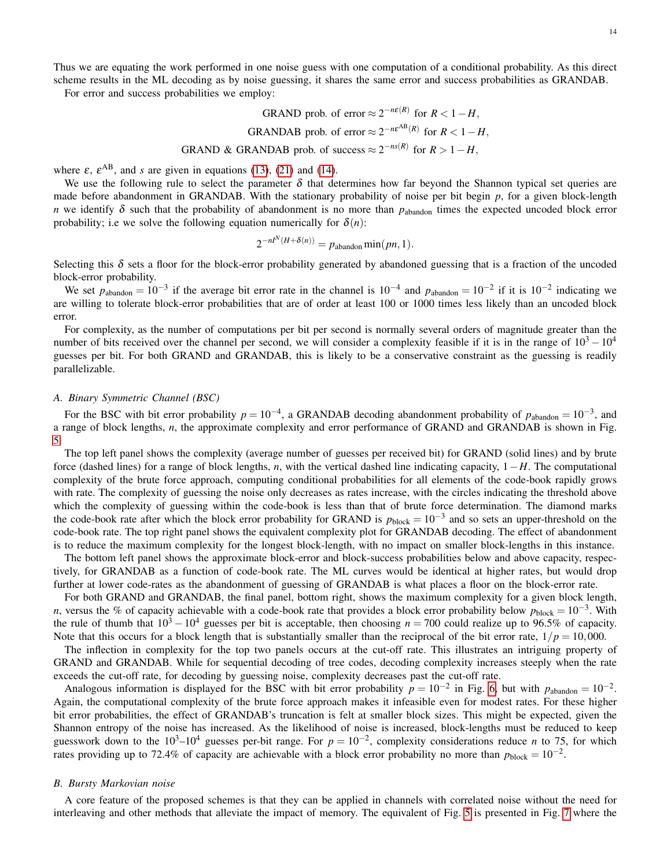14

Thus we are equating the work performed in one noise guess with one computation of a conditional probability. As this direct scheme results in the ML decoding as by noise guessing, it shares the same error and success probabilities as GRANDAB.

For error and success probabilities we employ:

GRAPHS

\nGRAPHS

\nGRAPHS

\nGRAPHS

\nGRAPHS

\nGRAPHS

\nGRAPHS

\nGRAPHS

\nGRAPHS

\nGRAPHS

\nGRAPHS

\nCHAPTER 1-H

\nGRAPHS

\nCHAPTER 2-n\varepsilon(R)

\nFor 
$$
R < 1 - H
$$
,

\nGRAPHS

\nCHAPTER 3-1-1

\nCHAPTER 4

\nFor  $R > 1 - H$ ,

\nCHAPTER 5

\nFor  $R > 1 - H$ ,

\nCHAPTER 6

\nFor  $R > 1 - H$ ,

\nOutput

\nOutput

\nDescription:

where  $\varepsilon$ ,  $\varepsilon^{AB}$ , and *s* are given in equations [\(13\)](#page-7-1), [\(21\)](#page-11-3) and [\(14\)](#page-7-2).

We use the following rule to select the parameter  $\delta$  that determines how far beyond the Shannon typical set queries are made before abandonment in GRANDAB. With the stationary probability of noise per bit begin *p*, for a given block-length *n* we identify  $\delta$  such that the probability of abandonment is no more than  $p_{ab$ <sub>abandon</sub> times the expected uncoded block error probability; i.e we solve the following equation numerically for  $\delta(n)$ :

$$
2^{-nI^N(H+\delta(n))} = p_{\text{abandon}} \min(pn, 1).
$$

Selecting this  $\delta$  sets a floor for the block-error probability generated by abandoned guessing that is a fraction of the uncoded block-error probability.

We set  $p_{\text{abandon}} = 10^{-3}$  if the average bit error rate in the channel is  $10^{-4}$  and  $p_{\text{abandon}} = 10^{-2}$  if it is  $10^{-2}$  indicating we are willing to tolerate block-error probabilities that are of order at least 100 or 1000 times less likely than an uncoded block error.

For complexity, as the number of computations per bit per second is normally several orders of magnitude greater than the number of bits received over the channel per second, we will consider a complexity feasible if it is in the range of  $10^3 - 10^4$ guesses per bit. For both GRAND and GRANDAB, this is likely to be a conservative constraint as the guessing is readily parallelizable.

## *A. Binary Symmetric Channel (BSC)*

For the BSC with bit error probability  $p = 10^{-4}$ , a GRANDAB decoding abandonment probability of  $p_{\text{abandon}} = 10^{-3}$ , and a range of block lengths, *n*, the approximate complexity and error performance of GRAND and GRANDAB is shown in Fig. [5.](#page-14-1)

The top left panel shows the complexity (average number of guesses per received bit) for GRAND (solid lines) and by brute force (dashed lines) for a range of block lengths, *n*, with the vertical dashed line indicating capacity, 1−*H*. The computational complexity of the brute force approach, computing conditional probabilities for all elements of the code-book rapidly grows with rate. The complexity of guessing the noise only decreases as rates increase, with the circles indicating the threshold above which the complexity of guessing within the code-book is less than that of brute force determination. The diamond marks the code-book rate after which the block error probability for GRAND is  $p_{block} = 10^{-3}$  and so sets an upper-threshold on the code-book rate. The top right panel shows the equivalent complexity plot for GRANDAB decoding. The effect of abandonment is to reduce the maximum complexity for the longest block-length, with no impact on smaller block-lengths in this instance.

The bottom left panel shows the approximate block-error and block-success probabilities below and above capacity, respectively, for GRANDAB as a function of code-book rate. The ML curves would be identical at higher rates, but would drop further at lower code-rates as the abandonment of guessing of GRANDAB is what places a floor on the block-error rate.

For both GRAND and GRANDAB, the final panel, bottom right, shows the maximum complexity for a given block length, *n*, versus the % of capacity achievable with a code-book rate that provides a block error probability below  $p_{block} = 10^{-3}$ . With the rule of thumb that  $10^3 - 10^4$  guesses per bit is acceptable, then choosing  $n = 700$  could realize up to 96.5% of capacity. Note that this occurs for a block length that is substantially smaller than the reciprocal of the bit error rate,  $1/p = 10,000$ .

The inflection in complexity for the top two panels occurs at the cut-off rate. This illustrates an intriguing property of GRAND and GRANDAB. While for sequential decoding of tree codes, decoding complexity increases steeply when the rate exceeds the cut-off rate, for decoding by guessing noise, complexity decreases past the cut-off rate.

Analogous information is displayed for the BSC with bit error probability  $p = 10^{-2}$  in Fig. [6,](#page-15-0) but with  $p_{\text{abandon}} = 10^{-2}$ . Again, the computational complexity of the brute force approach makes it infeasible even for modest rates. For these higher bit error probabilities, the effect of GRANDAB's truncation is felt at smaller block sizes. This might be expected, given the Shannon entropy of the noise has increased. As the likelihood of noise is increased, block-lengths must be reduced to keep guesswork down to the  $10^3-10^4$  guesses per-bit range. For  $p = 10^{-2}$ , complexity considerations reduce *n* to 75, for which rates providing up to 72.4% of capacity are achievable with a block error probability no more than  $p_{block} = 10^{-2}$ .

# *B. Bursty Markovian noise*

A core feature of the proposed schemes is that they can be applied in channels with correlated noise without the need for interleaving and other methods that alleviate the impact of memory. The equivalent of Fig. [5](#page-14-1) is presented in Fig. [7](#page-15-1) where the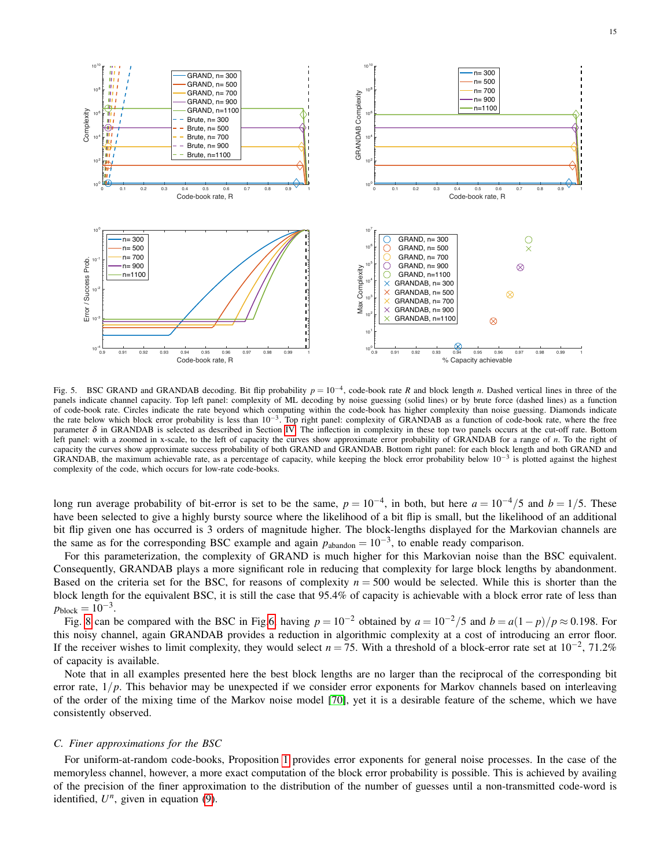

<span id="page-14-1"></span>Fig. 5. BSC GRAND and GRANDAB decoding. Bit flip probability  $p = 10^{-4}$ , code-book rate *R* and block length *n*. Dashed vertical lines in three of the panels indicate channel capacity. Top left panel: complexity of ML decoding by noise guessing (solid lines) or by brute force (dashed lines) as a function of code-book rate. Circles indicate the rate beyond which computing within the code-book has higher complexity than noise guessing. Diamonds indicate the rate below which block error probability is less than  $10^{-3}$ . Top right panel: complexity of GRANDAB as a function of code-book rate, where the free parameter  $\delta$  in GRANDAB is selected as described in Section [IV.](#page-12-0) The inflection in complexity in these top two panels occurs at the cut-off rate. Bottom left panel: with a zoomed in x-scale, to the left of capacity the curves show approximate error probability of GRANDAB for a range of *n*. To the right of capacity the curves show approximate success probability of both GRAND and GRANDAB. Bottom right panel: for each block length and both GRAND and GRANDAB, the maximum achievable rate, as a percentage of capacity, while keeping the block error probability below  $10^{-3}$  is plotted against the highest complexity of the code, which occurs for low-rate code-books.

long run average probability of bit-error is set to be the same,  $p = 10^{-4}$ , in both, but here  $a = 10^{-4}/5$  and  $b = 1/5$ . These have been selected to give a highly bursty source where the likelihood of a bit flip is small, but the likelihood of an additional bit flip given one has occurred is 3 orders of magnitude higher. The block-lengths displayed for the Markovian channels are the same as for the corresponding BSC example and again  $p_{\text{abandon}} = 10^{-3}$ , to enable ready comparison.

For this parameterization, the complexity of GRAND is much higher for this Markovian noise than the BSC equivalent. Consequently, GRANDAB plays a more significant role in reducing that complexity for large block lengths by abandonment. Based on the criteria set for the BSC, for reasons of complexity  $n = 500$  would be selected. While this is shorter than the block length for the equivalent BSC, it is still the case that 95.4% of capacity is achievable with a block error rate of less than  $p_{\text{block}} = 10^{-3}$ .

Fig. [8](#page-16-0) can be compared with the BSC in Fig[.6,](#page-15-0) having  $p = 10^{-2}$  obtained by  $a = 10^{-2}/5$  and  $b = a(1-p)/p \approx 0.198$ . For this noisy channel, again GRANDAB provides a reduction in algorithmic complexity at a cost of introducing an error floor. If the receiver wishes to limit complexity, they would select  $n = 75$ . With a threshold of a block-error rate set at 10<sup>-2</sup>, 71.2% of capacity is available.

Note that in all examples presented here the best block lengths are no larger than the reciprocal of the corresponding bit error rate,  $1/p$ . This behavior may be unexpected if we consider error exponents for Markov channels based on interleaving of the order of the mixing time of the Markov noise model [\[70\]](#page-20-16), yet it is a desirable feature of the scheme, which we have consistently observed.

## <span id="page-14-0"></span>*C. Finer approximations for the BSC*

For uniform-at-random code-books, Proposition [1](#page-7-0) provides error exponents for general noise processes. In the case of the memoryless channel, however, a more exact computation of the block error probability is possible. This is achieved by availing of the precision of the finer approximation to the distribution of the number of guesses until a non-transmitted code-word is identified,  $U<sup>n</sup>$ , given in equation [\(9\)](#page-5-2).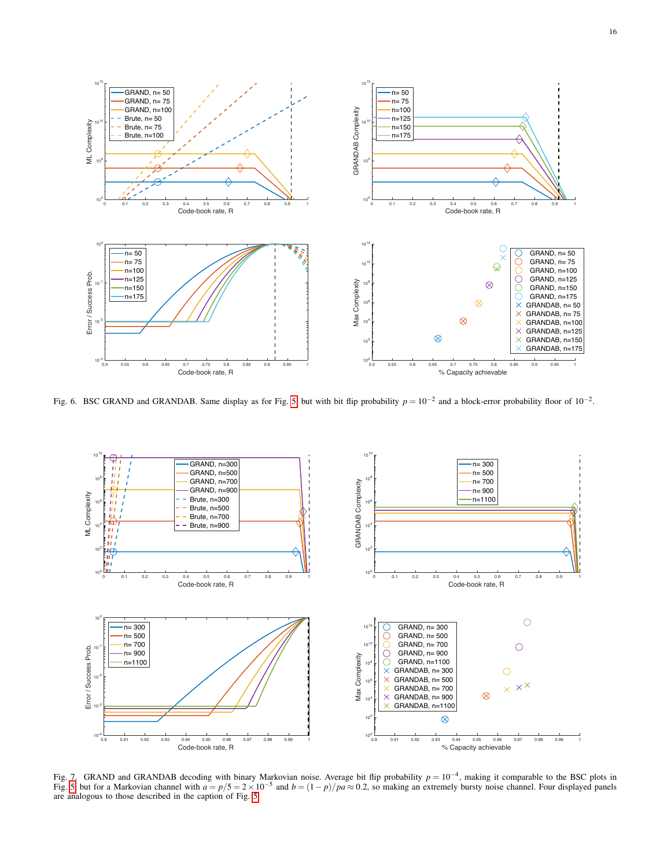

<span id="page-15-0"></span>Fig. 6. BSC GRAND and GRANDAB. Same display as for Fig. [5,](#page-14-1) but with bit flip probability  $p = 10^{-2}$  and a block-error probability floor of  $10^{-2}$ .



<span id="page-15-1"></span>Fig. 7. GRAND and GRANDAB decoding with binary Markovian noise. Average bit flip probability  $p = 10^{-4}$ , making it comparable to the BSC plots in Fig. [5,](#page-14-1) but for a Markovian channel with  $a = p/5 = 2 \times 10^{-5}$  and  $b = (1-p)/pa \approx 0.2$ , so making an extremely bursty noise channel. Four displayed panels are analogous to those described in the caption of Fig. [5.](#page-14-1)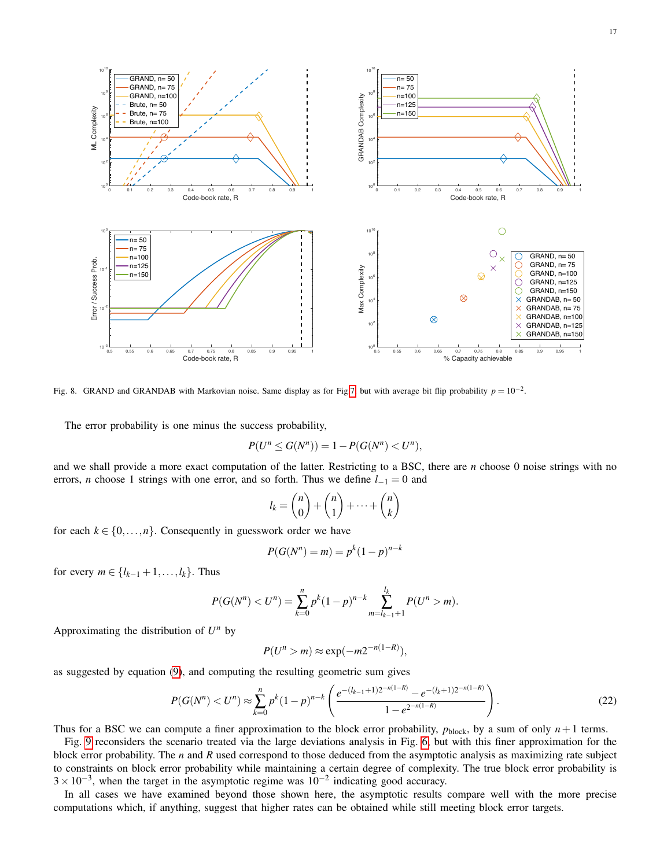

<span id="page-16-0"></span>Fig. 8. GRAND and GRANDAB with Markovian noise. Same display as for Fig[.7,](#page-15-1) but with average bit flip probability  $p = 10^{-2}$ .

The error probability is one minus the success probability,

$$
P(U^{n} \le G(N^{n})) = 1 - P(G(N^{n}) < U^{n}),
$$

and we shall provide a more exact computation of the latter. Restricting to a BSC, there are *n* choose 0 noise strings with no errors, *n* choose 1 strings with one error, and so forth. Thus we define *l*−<sup>1</sup> = 0 and

$$
l_k = \binom{n}{0} + \binom{n}{1} + \dots + \binom{n}{k}
$$

for each  $k \in \{0, \ldots, n\}$ . Consequently in guesswork order we have

$$
P(G(N^n) = m) = p^k (1 - p)^{n - k}
$$

for every *m* ∈ { $l_{k-1}$  + 1, ..., $l_k$ }. Thus

$$
P(G(N^{n}) < U^{n}) = \sum_{k=0}^{n} p^{k} (1-p)^{n-k} \sum_{m=l_{k-1}+1}^{l_k} P(U^{n} > m).
$$

Approximating the distribution of  $U^n$  by

$$
P(U^n > m) \approx \exp(-m2^{-n(1-R)}),
$$

as suggested by equation [\(9\)](#page-5-2), and computing the resulting geometric sum gives

$$
P(G(N^n) < U^n) \approx \sum_{k=0}^n p^k (1-p)^{n-k} \left( \frac{e^{-(l_{k-1}+1)2^{-n(1-R)}} - e^{-(l_k+1)2^{-n(1-R)}}}{1 - e^{2^{-n(1-R)}}} \right). \tag{22}
$$

Thus for a BSC we can compute a finer approximation to the block error probability,  $p_{block}$ , by a sum of only  $n+1$  terms.

Fig. [9](#page-17-1) reconsiders the scenario treated via the large deviations analysis in Fig. [6,](#page-15-0) but with this finer approximation for the block error probability. The *n* and *R* used correspond to those deduced from the asymptotic analysis as maximizing rate subject to constraints on block error probability while maintaining a certain degree of complexity. The true block error probability is  $3 \times 10^{-3}$ , when the target in the asymptotic regime was  $10^{-2}$  indicating good accuracy.

In all cases we have examined beyond those shown here, the asymptotic results compare well with the more precise computations which, if anything, suggest that higher rates can be obtained while still meeting block error targets.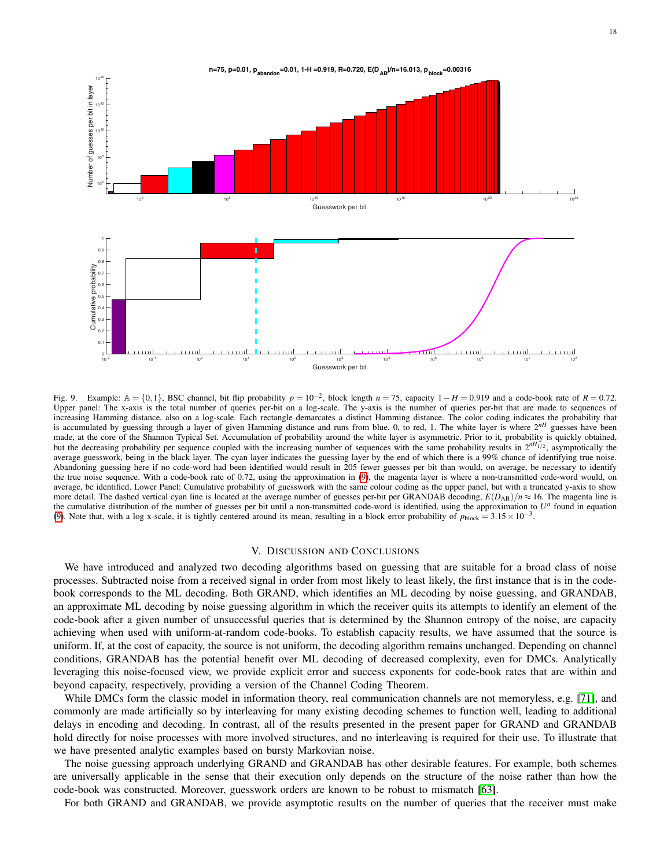

<span id="page-17-1"></span>Fig. 9. Example:  $A = \{0,1\}$ , BSC channel, bit flip probability  $p = 10^{-2}$ , block length  $n = 75$ , capacity  $1 - H = 0.919$  and a code-book rate of  $R = 0.72$ . Upper panel: The x-axis is the total number of queries per-bit on a log-scale. The y-axis is the number of queries per-bit that are made to sequences of increasing Hamming distance, also on a log-scale. Each rectangle demarcates a distinct Hamming distance. The color coding indicates the probability that is accumulated by guessing through a layer of given Hamming distance and runs from blue, 0, to red, 1. The white layer is where 2*nH* guesses have been made, at the core of the Shannon Typical Set. Accumulation of probability around the white layer is asymmetric. Prior to it, probability is quickly obtained, but the decreasing probability per sequence coupled with the increasing number of sequences with the same probability results in  $2^{nH_1/2}$ , asymptotically the average guesswork, being in the black layer. The cyan layer indicates the guessing layer by the end of which there is a 99% chance of identifying true noise. Abandoning guessing here if no code-word had been identified would result in 205 fewer guesses per bit than would, on average, be necessary to identify the true noise sequence. With a code-book rate of 0.72, using the approximation in [\(9\)](#page-5-2), the magenta layer is where a non-transmitted code-word would, on average, be identified. Lower Panel: Cumulative probability of guesswork with the same colour coding as the upper panel, but with a truncated y-axis to show more detail. The dashed vertical cyan line is located at the average number of guesses per-bit per GRANDAB decoding,  $E(D_{AB})/n \approx 16$ . The magenta line is the cumulative distribution of the number of guesses per bit until a non-transmitted code-word is identified, using the approximation to  $U^n$  found in equation [\(9\)](#page-5-2). Note that, with a log x-scale, it is tightly centered around its mean, resulting in a block error probability of  $p_{block} = 3.15 \times 10^{-3}$ .

## V. DISCUSSION AND CONCLUSIONS

<span id="page-17-0"></span>We have introduced and analyzed two decoding algorithms based on guessing that are suitable for a broad class of noise processes. Subtracted noise from a received signal in order from most likely to least likely, the first instance that is in the codebook corresponds to the ML decoding. Both GRAND, which identifies an ML decoding by noise guessing, and GRANDAB, an approximate ML decoding by noise guessing algorithm in which the receiver quits its attempts to identify an element of the code-book after a given number of unsuccessful queries that is determined by the Shannon entropy of the noise, are capacity achieving when used with uniform-at-random code-books. To establish capacity results, we have assumed that the source is uniform. If, at the cost of capacity, the source is not uniform, the decoding algorithm remains unchanged. Depending on channel conditions, GRANDAB has the potential benefit over ML decoding of decreased complexity, even for DMCs. Analytically leveraging this noise-focused view, we provide explicit error and success exponents for code-book rates that are within and beyond capacity, respectively, providing a version of the Channel Coding Theorem.

While DMCs form the classic model in information theory, real communication channels are not memoryless, e.g. [\[71\]](#page-20-17), and commonly are made artificially so by interleaving for many existing decoding schemes to function well, leading to additional delays in encoding and decoding. In contrast, all of the results presented in the present paper for GRAND and GRANDAB hold directly for noise processes with more involved structures, and no interleaving is required for their use. To illustrate that we have presented analytic examples based on bursty Markovian noise.

The noise guessing approach underlying GRAND and GRANDAB has other desirable features. For example, both schemes are universally applicable in the sense that their execution only depends on the structure of the noise rather than how the code-book was constructed. Moreover, guesswork orders are known to be robust to mismatch [\[63\]](#page-20-9).

For both GRAND and GRANDAB, we provide asymptotic results on the number of queries that the receiver must make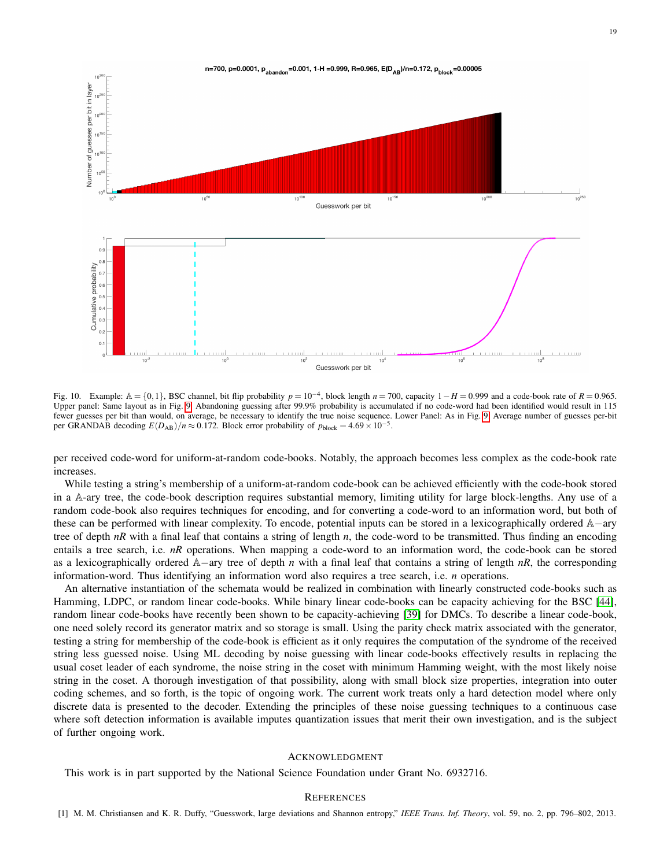

Fig. 10. Example:  $A = \{0, 1\}$ , BSC channel, bit flip probability  $p = 10^{-4}$ , block length  $n = 700$ , capacity  $1 - H = 0.999$  and a code-book rate of  $R = 0.965$ . Upper panel: Same layout as in Fig. [9.](#page-17-1) Abandoning guessing after 99.9% probability is accumulated if no code-word had been identified would result in 115 fewer guesses per bit than would, on average, be necessary to identify the true noise sequence. Lower Panel: As in Fig. [9.](#page-17-1) Average number of guesses per-bit per GRANDAB decoding  $E(D_{AB})/n \approx 0.172$ . Block error probability of  $p_{block} = 4.69 \times 10^{-5}$ .

per received code-word for uniform-at-random code-books. Notably, the approach becomes less complex as the code-book rate increases.

While testing a string's membership of a uniform-at-random code-book can be achieved efficiently with the code-book stored in a A-ary tree, the code-book description requires substantial memory, limiting utility for large block-lengths. Any use of a random code-book also requires techniques for encoding, and for converting a code-word to an information word, but both of these can be performed with linear complexity. To encode, potential inputs can be stored in a lexicographically ordered A−ary tree of depth *nR* with a final leaf that contains a string of length *n*, the code-word to be transmitted. Thus finding an encoding entails a tree search, i.e. *nR* operations. When mapping a code-word to an information word, the code-book can be stored as a lexicographically ordered A−ary tree of depth *n* with a final leaf that contains a string of length *nR*, the corresponding information-word. Thus identifying an information word also requires a tree search, i.e. *n* operations.

An alternative instantiation of the schemata would be realized in combination with linearly constructed code-books such as Hamming, LDPC, or random linear code-books. While binary linear code-books can be capacity achieving for the BSC [\[44\]](#page-19-42), random linear code-books have recently been shown to be capacity-achieving [\[39\]](#page-19-37) for DMCs. To describe a linear code-book, one need solely record its generator matrix and so storage is small. Using the parity check matrix associated with the generator, testing a string for membership of the code-book is efficient as it only requires the computation of the syndrome of the received string less guessed noise. Using ML decoding by noise guessing with linear code-books effectively results in replacing the usual coset leader of each syndrome, the noise string in the coset with minimum Hamming weight, with the most likely noise string in the coset. A thorough investigation of that possibility, along with small block size properties, integration into outer coding schemes, and so forth, is the topic of ongoing work. The current work treats only a hard detection model where only discrete data is presented to the decoder. Extending the principles of these noise guessing techniques to a continuous case where soft detection information is available imputes quantization issues that merit their own investigation, and is the subject of further ongoing work.

## ACKNOWLEDGMENT

<span id="page-18-0"></span>This work is in part supported by the National Science Foundation under Grant No. 6932716.

## **REFERENCES**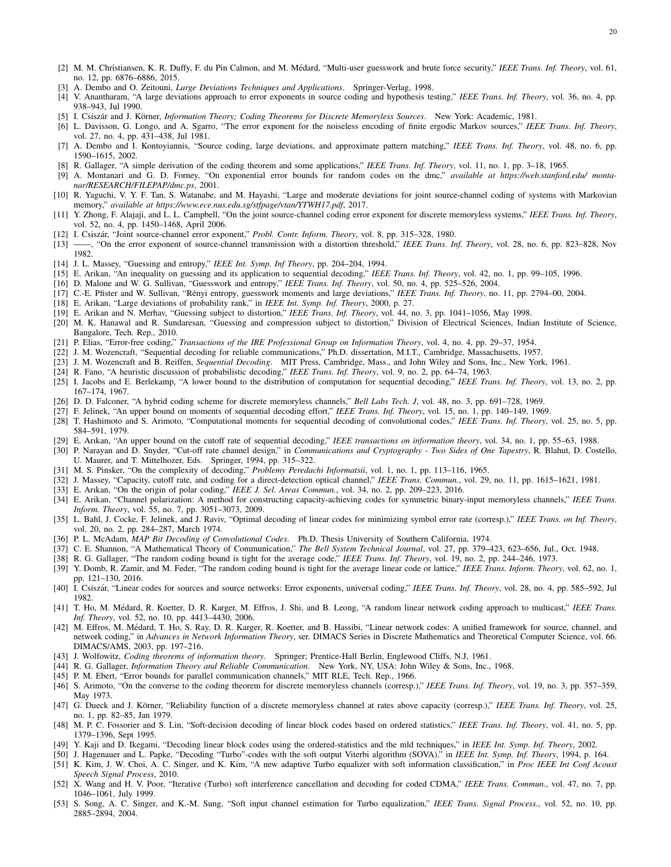- <span id="page-19-0"></span>[2] M. M. Christiansen, K. R. Duffy, F. du Pin Calmon, and M. Médard, "Multi-user guesswork and brute force security," IEEE Trans. Inf. Theory, vol. 61, no. 12, pp. 6876–6886, 2015.
- <span id="page-19-1"></span>[3] A. Dembo and O. Zeitouni, *Large Deviations Techniques and Applications*. Springer-Verlag, 1998.
- <span id="page-19-2"></span>[4] V. Anantharam, "A large deviations approach to error exponents in source coding and hypothesis testing," *IEEE Trans. Inf. Theory*, vol. 36, no. 4, pp. 938–943, Jul 1990.
- <span id="page-19-3"></span>[5] I. Csiszár and J. Körner, *Information Theory; Coding Theorems for Discrete Memoryless Sources*. New York: Academic, 1981.
- <span id="page-19-4"></span>[6] L. Davisson, G. Longo, and A. Sgarro, "The error exponent for the noiseless encoding of finite ergodic Markov sources," *IEEE Trans. Inf. Theory*, vol. 27, no. 4, pp. 431–438, Jul 1981.
- <span id="page-19-5"></span>[7] A. Dembo and I. Kontoyiannis, "Source coding, large deviations, and approximate pattern matching," *IEEE Trans. Inf. Theory*, vol. 48, no. 6, pp. 1590–1615, 2002.
- <span id="page-19-6"></span>[8] R. Gallager, "A simple derivation of the coding theorem and some applications," *IEEE Trans. Inf. Theory*, vol. 11, no. 1, pp. 3–18, 1965.
- <span id="page-19-7"></span>[9] A. Montanari and G. D. Forney, "On exponential error bounds for random codes on the dmc," *available at https://web.stanford.edu/ montanar/RESEARCH/FILEPAP/dmc.ps*, 2001.
- <span id="page-19-8"></span>[10] R. Yaguchi, V. Y. F. Tan, S. Watanabe, and M. Hayashi, "Large and moderate deviations for joint source-channel coding of systems with Markovian memory," *available at https://www.ece.nus.edu.sg/stfpage/vtan/YTWH17.pdf*, 2017.
- <span id="page-19-9"></span>[11] Y. Zhong, F. Alajaji, and L. L. Campbell, "On the joint source-channel coding error exponent for discrete memoryless systems," *IEEE Trans. Inf. Theory*, vol. 52, no. 4, pp. 1450–1468, April 2006.
- <span id="page-19-10"></span>[12] I. Csiszár, "Joint source-channel error exponent," Probl. Contr. Inform. Theory, vol. 8, pp. 315–328, 1980.
- <span id="page-19-11"></span>[13] ——, "On the error exponent of source-channel transmission with a distortion threshold," *IEEE Trans. Inf. Theory*, vol. 28, no. 6, pp. 823–828, Nov 1982.
- <span id="page-19-12"></span>[14] J. L. Massey, "Guessing and entropy," *IEEE Int. Symp. Inf Theory*, pp. 204–204, 1994.
- <span id="page-19-13"></span>[15] E. Arikan, "An inequality on guessing and its application to sequential decoding," *IEEE Trans. Inf. Theory*, vol. 42, no. 1, pp. 99–105, 1996.
- <span id="page-19-14"></span>[16] D. Malone and W. G. Sullivan, "Guesswork and entropy," *IEEE Trans. Inf. Theory*, vol. 50, no. 4, pp. 525–526, 2004.
- <span id="page-19-15"></span>[17] C.-E. Pfister and W. Sullivan, "Rényi entropy, guesswork moments and large deviations," IEEE Trans. Inf. Theory, no. 11, pp. 2794–00, 2004.
- <span id="page-19-16"></span>[18] E. Arikan, "Large deviations of probability rank," in *IEEE Int. Symp. Inf. Theory*, 2000, p. 27.
- <span id="page-19-17"></span>[19] E. Arikan and N. Merhav, "Guessing subject to distortion," *IEEE Trans. Inf. Theory*, vol. 44, no. 3, pp. 1041–1056, May 1998.
- <span id="page-19-18"></span>[20] M. K. Hanawal and R. Sundaresan, "Guessing and compression subject to distortion," Division of Electrical Sciences, Indian Institute of Science, Bangalore, Tech. Rep., 2010.
- <span id="page-19-19"></span>[21] P. Elias, "Error-free coding," *Transactions of the IRE Professional Group on Information Theory*, vol. 4, no. 4, pp. 29–37, 1954.
- <span id="page-19-20"></span>[22] J. M. Wozencraft, "Sequential decoding for reliable communications," Ph.D. dissertation, M.I.T., Cambridge, Massachusetts, 1957.
- <span id="page-19-21"></span>[23] J. M. Wozencraft and B. Reiffen, *Sequential Decoding*. MIT Press, Cambridge, Mass., and John Wiley and Sons, Inc., New York, 1961.
- <span id="page-19-22"></span>[24] R. Fano, "A heuristic discussion of probabilistic decoding," *IEEE Trans. Inf. Theory*, vol. 9, no. 2, pp. 64–74, 1963.
- <span id="page-19-23"></span>[25] I. Jacobs and E. Berlekamp, "A lower bound to the distribution of computation for sequential decoding," *IEEE Trans. Inf. Theory*, vol. 13, no. 2, pp. 167–174, 1967.
- <span id="page-19-24"></span>[26] D. D. Falconer, "A hybrid coding scheme for discrete memoryless channels," *Bell Labs Tech. J*, vol. 48, no. 3, pp. 691–728, 1969.
- <span id="page-19-25"></span>[27] F. Jelinek, "An upper bound on moments of sequential decoding effort," *IEEE Trans. Inf. Theory*, vol. 15, no. 1, pp. 140–149, 1969.
- <span id="page-19-26"></span>[28] T. Hashimoto and S. Arimoto, "Computational moments for sequential decoding of convolutional codes," *IEEE Trans. Inf. Theory*, vol. 25, no. 5, pp. 584–591, 1979.
- <span id="page-19-27"></span>[29] E. Arıkan, "An upper bound on the cutoff rate of sequential decoding," *IEEE transactions on information theory*, vol. 34, no. 1, pp. 55–63, 1988.
- <span id="page-19-28"></span>[30] P. Narayan and D. Snyder, "Cut-off rate channel design," in *Communications and Cryptography - Two Sides of One Tapestry*, R. Blahut, D. Costello, U. Maurer, and T. Mittelhozer, Eds. Springer, 1994, pp. 315–322.
- <span id="page-19-29"></span>[31] M. S. Pinsker, "On the complexity of decoding," *Problemy Peredachi Informatsii*, vol. 1, no. 1, pp. 113–116, 1965.
- <span id="page-19-30"></span>[32] J. Massey, "Capacity, cutoff rate, and coding for a direct-detection optical channel," *IEEE Trans. Commun.*, vol. 29, no. 11, pp. 1615–1621, 1981.
- <span id="page-19-31"></span>[33] E. Arıkan, "On the origin of polar coding," *IEEE J. Sel. Areas Commun.*, vol. 34, no. 2, pp. 209–223, 2016.
- <span id="page-19-32"></span>[34] E. Arikan, "Channel polarization: A method for constructing capacity-achieving codes for symmetric binary-input memoryless channels," *IEEE Trans. Inform. Theory*, vol. 55, no. 7, pp. 3051–3073, 2009.
- <span id="page-19-33"></span>[35] L. Bahl, J. Cocke, F. Jelinek, and J. Raviv, "Optimal decoding of linear codes for minimizing symbol error rate (corresp.)," *IEEE Trans. on Inf. Theory*, vol. 20, no. 2, pp. 284–287, March 1974.
- <span id="page-19-34"></span>[36] P. L. McAdam, *MAP Bit Decoding of Convolutional Codes*. Ph.D. Thesis University of Southern California, 1974.
- <span id="page-19-35"></span>[37] C. E. Shannon, "A Mathematical Theory of Communication," *The Bell System Technical Journal*, vol. 27, pp. 379–423, 623–656, Jul., Oct. 1948.
- <span id="page-19-36"></span>
- <span id="page-19-37"></span>[39] Y. Domb, R. Zamir, and M. Feder, "The random coding bound is tight for the average linear code or lattice," *IEEE Trans. Inform. Theory*, vol. 62, no. 1,
- <span id="page-19-38"></span>[40] I. Csiszár, "Linear codes for sources and source networks: Error exponents, universal coding," IEEE Trans. Inf. Theory, vol. 28, no. 4, pp. 585-592, Jul 1982.
- <span id="page-19-39"></span>[41] T. Ho, M. Médard, R. Koetter, D. R. Karger, M. Effros, J. Shi, and B. Leong, "A random linear network coding approach to multicast," *IEEE Trans. Inf. Theory*, vol. 52, no. 10, pp. 4413–4430, 2006.
- <span id="page-19-40"></span>[42] M. Effros, M. Médard, T. Ho, S. Ray, D. R. Karger, R. Koetter, and B. Hassibi, "Linear network codes: A unified framework for source, channel, and network coding," in *Advances in Network Information Theory*, ser. DIMACS Series in Discrete Mathematics and Theoretical Computer Science, vol. 66. DIMACS/AMS, 2003, pp. 197–216.
- <span id="page-19-41"></span>[43] J. Wolfowitz, *Coding theorems of information theory*. Springer; Prentice-Hall Berlin, Englewood Cliffs, N.J, 1961.
- <span id="page-19-42"></span>[44] R. G. Gallager, *Information Theory and Reliable Communication*. New York, NY, USA: John Wiley & Sons, Inc., 1968.
- <span id="page-19-43"></span>[45] P. M. Ebert, "Error bounds for parallel communication channels," MIT RLE, Tech. Rep., 1966.
- <span id="page-19-44"></span>[46] S. Arimoto, "On the converse to the coding theorem for discrete memoryless channels (corresp.)," *IEEE Trans. Inf. Theory*, vol. 19, no. 3, pp. 357–359, May 1973.
- <span id="page-19-45"></span>[47] G. Dueck and J. Körner, "Reliability function of a discrete memoryless channel at rates above capacity (corresp.)," IEEE Trans. Inf. Theory, vol. 25, no. 1, pp. 82–85, Jan 1979.
- <span id="page-19-46"></span>[48] M. P. C. Fossorier and S. Lin, "Soft-decision decoding of linear block codes based on ordered statistics," *IEEE Trans. Inf. Theory*, vol. 41, no. 5, pp. 1379–1396, Sept 1995.
- <span id="page-19-47"></span>[49] Y. Kaji and D. Ikegami, "Decoding linear block codes using the ordered-statistics and the mld techniques," in *IEEE Int. Symp. Inf. Theory*, 2002.
- <span id="page-19-48"></span>[50] J. Hagenauer and L. Papke, "Decoding "Turbo"-codes with the soft output Viterbi algorithm (SOVA)," in *IEEE Int. Symp. Inf. Theory*, 1994, p. 164.
- <span id="page-19-49"></span>[51] K. Kim, J. W. Choi, A. C. Singer, and K. Kim, "A new adaptive Turbo equalizer with soft information classification," in *Proc IEEE Int Conf Acoust Speech Signal Process*, 2010.
- <span id="page-19-50"></span>[52] X. Wang and H. V. Poor, "Iterative (Turbo) soft interference cancellation and decoding for coded CDMA," *IEEE Trans. Commun.*, vol. 47, no. 7, pp. 1046–1061, July 1999.
- <span id="page-19-51"></span>[53] S. Song, A. C. Singer, and K.-M. Sung, "Soft input channel estimation for Turbo equalization," *IEEE Trans. Signal Process.*, vol. 52, no. 10, pp. 2885–2894, 2004.
- [38] R. G. Gallager, "The random coding bound is tight for the average code," *IEEE Trans. Inf. Theory*, vol. 19, no. 2, pp. 244–246, 1973.
- pp. 121–130, 2016.